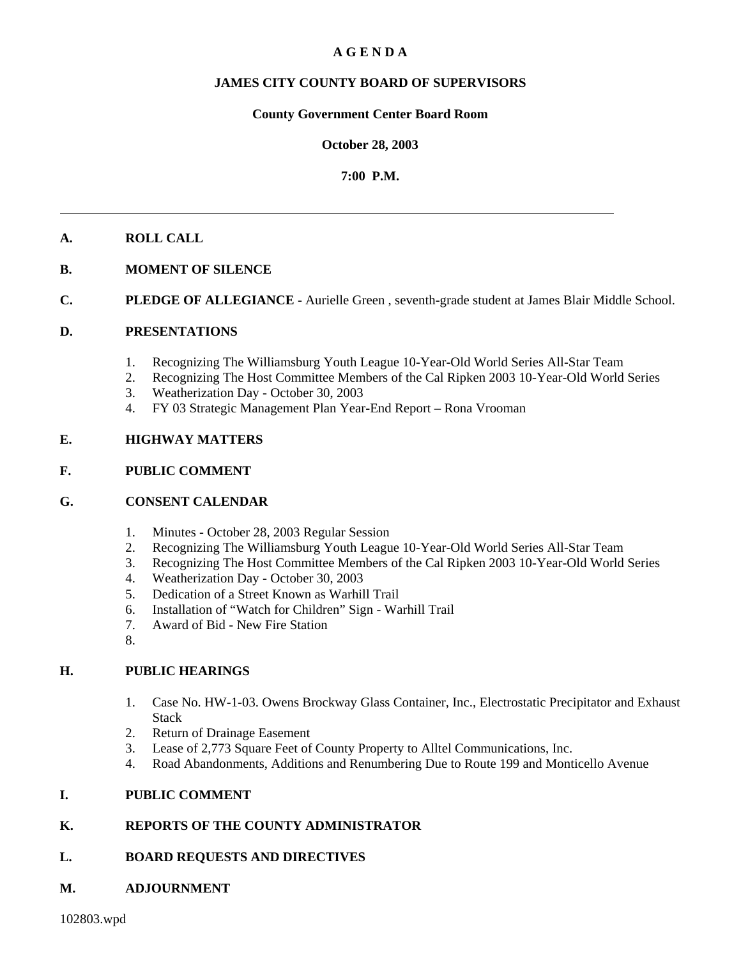#### **A G E N D A**

#### **JAMES CITY COUNTY BOARD OF SUPERVISORS**

#### **County Government Center Board Room**

#### **October 28, 2003**

#### **7:00 P.M.**

#### **A. ROLL CALL**

- **B. MOMENT OF SILENCE**
- **C. PLEDGE OF ALLEGIANCE** Aurielle Green, seventh-grade student at James Blair Middle School.

#### **D. PRESENTATIONS**

- 1. Recognizing The Williamsburg Youth League 10-Year-Old World Series All-Star Team
- 2. Recognizing The Host Committee Members of the Cal Ripken 2003 10-Year-Old World Series
- 3. Weatherization Day October 30, 2003
- 4. FY 03 Strategic Management Plan Year-End Report Rona Vrooman

#### **E. HIGHWAY MATTERS**

#### **F. PUBLIC COMMENT**

#### **G. CONSENT CALENDAR**

- 1. Minutes October 28, 2003 Regular Session
- 2. Recognizing The Williamsburg Youth League 10-Year-Old World Series All-Star Team
- 3. Recognizing The Host Committee Members of the Cal Ripken 2003 10-Year-Old World Series
- 4. Weatherization Day October 30, 2003
- 5. Dedication of a Street Known as Warhill Trail
- 6. Installation of "Watch for Children" Sign Warhill Trail
- 7. Award of Bid New Fire Station
- 8.

#### **H. PUBLIC HEARINGS**

- 1. Case No. HW-1-03. Owens Brockway Glass Container, Inc., Electrostatic Precipitator and Exhaust Stack
- 2. Return of Drainage Easement
- 3. Lease of 2,773 Square Feet of County Property to Alltel Communications, Inc.
- 4. Road Abandonments, Additions and Renumbering Due to Route 199 and Monticello Avenue

#### **I. PUBLIC COMMENT**

#### **K. REPORTS OF THE COUNTY ADMINISTRATOR**

#### **L. BOARD REQUESTS AND DIRECTIVES**

#### **M. ADJOURNMENT**

102803.wpd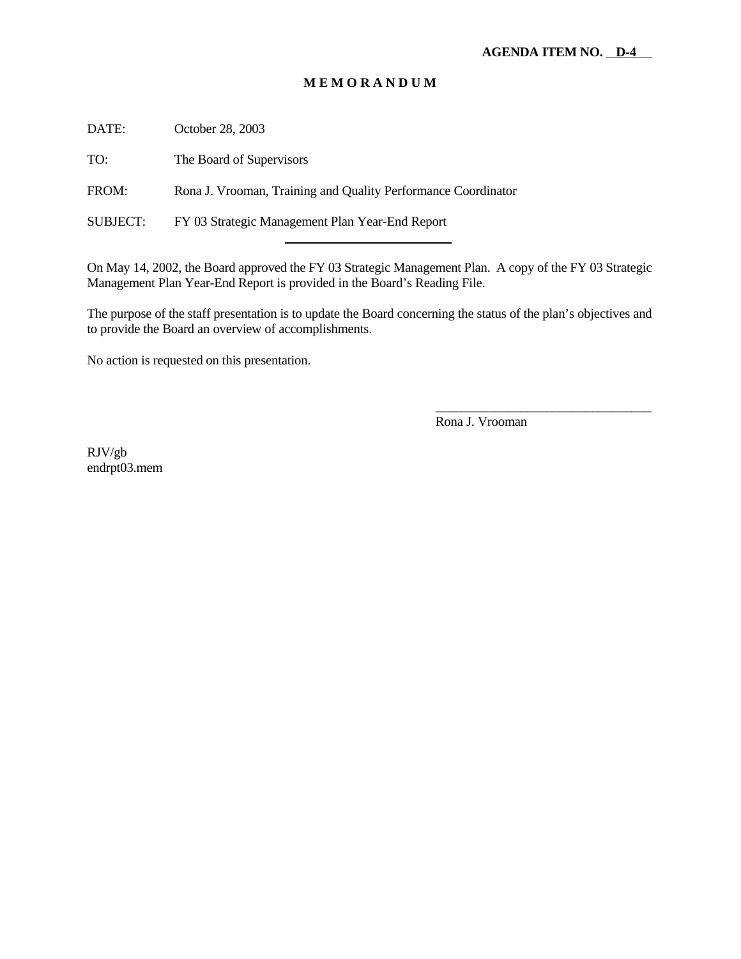DATE: October 28, 2003

TO: The Board of Supervisors

FROM: Rona J. Vrooman, Training and Quality Performance Coordinator

SUBJECT: FY 03 Strategic Management Plan Year-End Report

l

On May 14, 2002, the Board approved the FY 03 Strategic Management Plan. A copy of the FY 03 Strategic Management Plan Year-End Report is provided in the Board's Reading File.

The purpose of the staff presentation is to update the Board concerning the status of the plan's objectives and to provide the Board an overview of accomplishments.

No action is requested on this presentation.

Rona J. Vrooman

\_\_\_\_\_\_\_\_\_\_\_\_\_\_\_\_\_\_\_\_\_\_\_\_\_\_\_\_\_\_\_\_\_

RJV/gb endrpt03.mem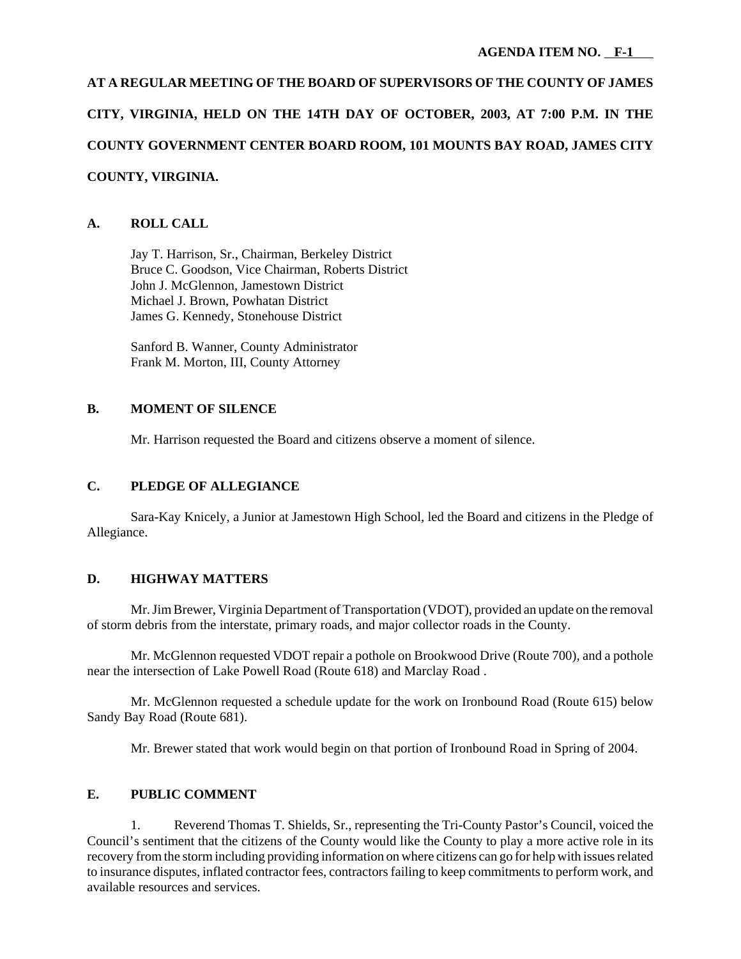## **AT A REGULAR MEETING OF THE BOARD OF SUPERVISORS OF THE COUNTY OF JAMES CITY, VIRGINIA, HELD ON THE 14TH DAY OF OCTOBER, 2003, AT 7:00 P.M. IN THE COUNTY GOVERNMENT CENTER BOARD ROOM, 101 MOUNTS BAY ROAD, JAMES CITY COUNTY, VIRGINIA.**

#### **A. ROLL CALL**

Jay T. Harrison, Sr., Chairman, Berkeley District Bruce C. Goodson, Vice Chairman, Roberts District John J. McGlennon, Jamestown District Michael J. Brown, Powhatan District James G. Kennedy, Stonehouse District

Sanford B. Wanner, County Administrator Frank M. Morton, III, County Attorney

#### **B. MOMENT OF SILENCE**

Mr. Harrison requested the Board and citizens observe a moment of silence.

#### **C. PLEDGE OF ALLEGIANCE**

Sara-Kay Knicely, a Junior at Jamestown High School, led the Board and citizens in the Pledge of Allegiance.

#### **D. HIGHWAY MATTERS**

Mr. Jim Brewer, Virginia Department of Transportation (VDOT), provided an update on the removal of storm debris from the interstate, primary roads, and major collector roads in the County.

Mr. McGlennon requested VDOT repair a pothole on Brookwood Drive (Route 700), and a pothole near the intersection of Lake Powell Road (Route 618) and Marclay Road .

Mr. McGlennon requested a schedule update for the work on Ironbound Road (Route 615) below Sandy Bay Road (Route 681).

Mr. Brewer stated that work would begin on that portion of Ironbound Road in Spring of 2004.

#### **E. PUBLIC COMMENT**

1. Reverend Thomas T. Shields, Sr., representing the Tri-County Pastor's Council, voiced the Council's sentiment that the citizens of the County would like the County to play a more active role in its recovery from the storm including providing information on where citizens can go for help with issues related to insurance disputes, inflated contractor fees, contractors failing to keep commitments to perform work, and available resources and services.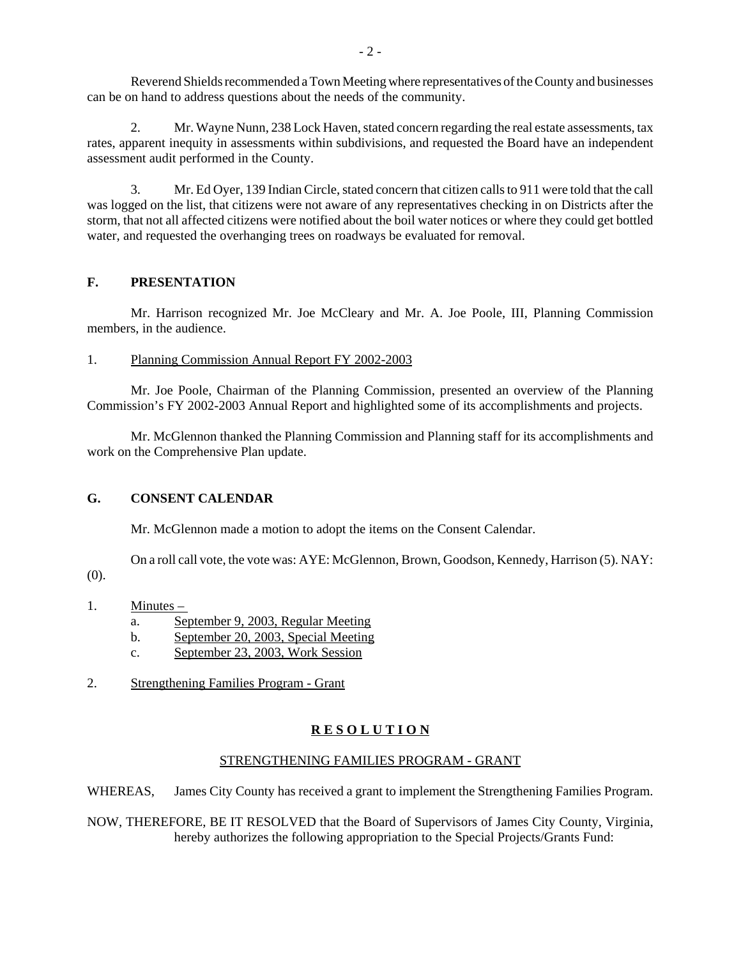Reverend Shields recommended a Town Meeting where representatives of the County and businesses can be on hand to address questions about the needs of the community.

2. Mr. Wayne Nunn, 238 Lock Haven, stated concern regarding the real estate assessments, tax rates, apparent inequity in assessments within subdivisions, and requested the Board have an independent assessment audit performed in the County.

3. Mr. Ed Oyer, 139 Indian Circle, stated concern that citizen calls to 911 were told that the call was logged on the list, that citizens were not aware of any representatives checking in on Districts after the storm, that not all affected citizens were notified about the boil water notices or where they could get bottled water, and requested the overhanging trees on roadways be evaluated for removal.

#### **F. PRESENTATION**

Mr. Harrison recognized Mr. Joe McCleary and Mr. A. Joe Poole, III, Planning Commission members, in the audience.

1. Planning Commission Annual Report FY 2002-2003

Mr. Joe Poole, Chairman of the Planning Commission, presented an overview of the Planning Commission's FY 2002-2003 Annual Report and highlighted some of its accomplishments and projects.

Mr. McGlennon thanked the Planning Commission and Planning staff for its accomplishments and work on the Comprehensive Plan update.

#### **G. CONSENT CALENDAR**

Mr. McGlennon made a motion to adopt the items on the Consent Calendar.

On a roll call vote, the vote was: AYE: McGlennon, Brown, Goodson, Kennedy, Harrison (5). NAY:

 $(0)$ .

- 1. Minutes
	- a. September 9, 2003, Regular Meeting
	- b. September 20, 2003, Special Meeting
	- c. September 23, 2003, Work Session
- 2. Strengthening Families Program Grant

#### **R E S O L U T I O N**

#### STRENGTHENING FAMILIES PROGRAM - GRANT

WHEREAS, James City County has received a grant to implement the Strengthening Families Program.

NOW, THEREFORE, BE IT RESOLVED that the Board of Supervisors of James City County, Virginia, hereby authorizes the following appropriation to the Special Projects/Grants Fund: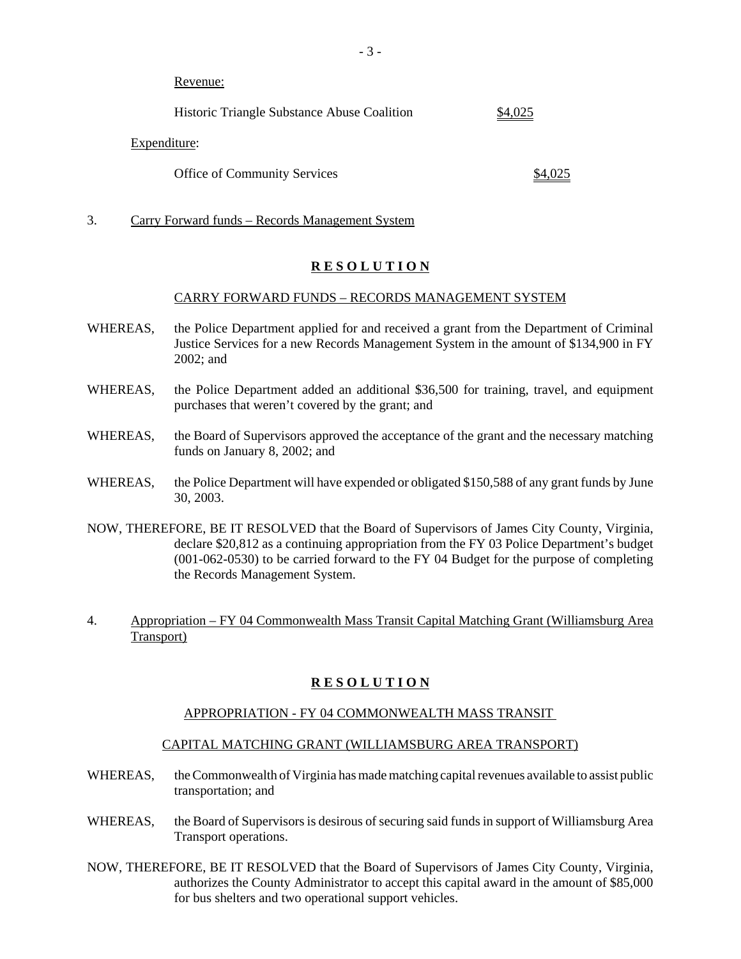Revenue:

| Historic Triangle Substance Abuse Coalition | \$4,025 |
|---------------------------------------------|---------|
|---------------------------------------------|---------|

Expenditure:

Office of Community Services  $$4,025$ 

3. Carry Forward funds – Records Management System

#### **R E S O L U T I O N**

#### CARRY FORWARD FUNDS – RECORDS MANAGEMENT SYSTEM

- WHEREAS, the Police Department applied for and received a grant from the Department of Criminal Justice Services for a new Records Management System in the amount of \$134,900 in FY 2002; and
- WHEREAS, the Police Department added an additional \$36,500 for training, travel, and equipment purchases that weren't covered by the grant; and
- WHEREAS, the Board of Supervisors approved the acceptance of the grant and the necessary matching funds on January 8, 2002; and
- WHEREAS, the Police Department will have expended or obligated \$150,588 of any grant funds by June 30, 2003.
- NOW, THEREFORE, BE IT RESOLVED that the Board of Supervisors of James City County, Virginia, declare \$20,812 as a continuing appropriation from the FY 03 Police Department's budget (001-062-0530) to be carried forward to the FY 04 Budget for the purpose of completing the Records Management System.
- 4. Appropriation FY 04 Commonwealth Mass Transit Capital Matching Grant (Williamsburg Area Transport)

#### **R E S O L U T I O N**

#### APPROPRIATION - FY 04 COMMONWEALTH MASS TRANSIT

#### CAPITAL MATCHING GRANT (WILLIAMSBURG AREA TRANSPORT)

- WHEREAS, the Commonwealth of Virginia has made matching capital revenues available to assist public transportation; and
- WHEREAS, the Board of Supervisors is desirous of securing said funds in support of Williamsburg Area Transport operations.
- NOW, THEREFORE, BE IT RESOLVED that the Board of Supervisors of James City County, Virginia, authorizes the County Administrator to accept this capital award in the amount of \$85,000 for bus shelters and two operational support vehicles.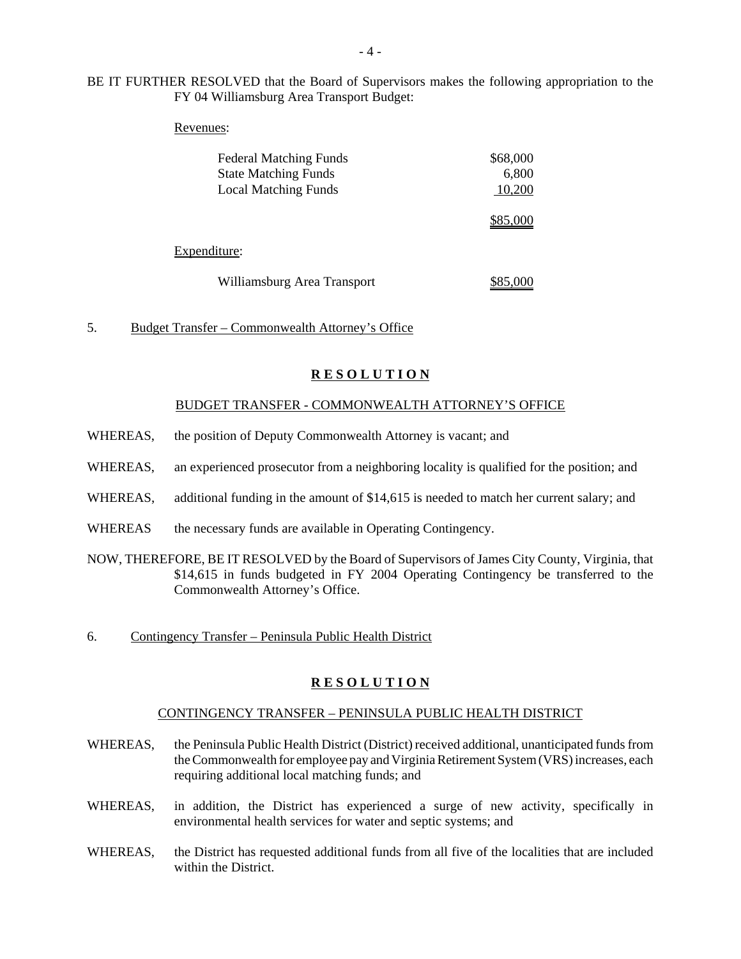#### BE IT FURTHER RESOLVED that the Board of Supervisors makes the following appropriation to the FY 04 Williamsburg Area Transport Budget:

#### Revenues:

| <b>Federal Matching Funds</b> | \$68,000 |
|-------------------------------|----------|
| <b>State Matching Funds</b>   | 6,800    |
| <b>Local Matching Funds</b>   | 10,200   |
|                               | \$85,000 |
| Expenditure:                  |          |
| Williamsburg Area Transport   |          |

5. Budget Transfer – Commonwealth Attorney's Office

#### **R E S O L U T I O N**

#### BUDGET TRANSFER - COMMONWEALTH ATTORNEY'S OFFICE

- WHEREAS, the position of Deputy Commonwealth Attorney is vacant; and
- WHEREAS, an experienced prosecutor from a neighboring locality is qualified for the position; and
- WHEREAS, additional funding in the amount of \$14,615 is needed to match her current salary; and
- WHEREAS the necessary funds are available in Operating Contingency.
- NOW, THEREFORE, BE IT RESOLVED by the Board of Supervisors of James City County, Virginia, that \$14,615 in funds budgeted in FY 2004 Operating Contingency be transferred to the Commonwealth Attorney's Office.
- 6. Contingency Transfer Peninsula Public Health District

#### **R E S O L U T I O N**

#### CONTINGENCY TRANSFER – PENINSULA PUBLIC HEALTH DISTRICT

- WHEREAS, the Peninsula Public Health District (District) received additional, unanticipated funds from the Commonwealth for employee pay and Virginia Retirement System (VRS) increases, each requiring additional local matching funds; and
- WHEREAS, in addition, the District has experienced a surge of new activity, specifically in environmental health services for water and septic systems; and
- WHEREAS, the District has requested additional funds from all five of the localities that are included within the District.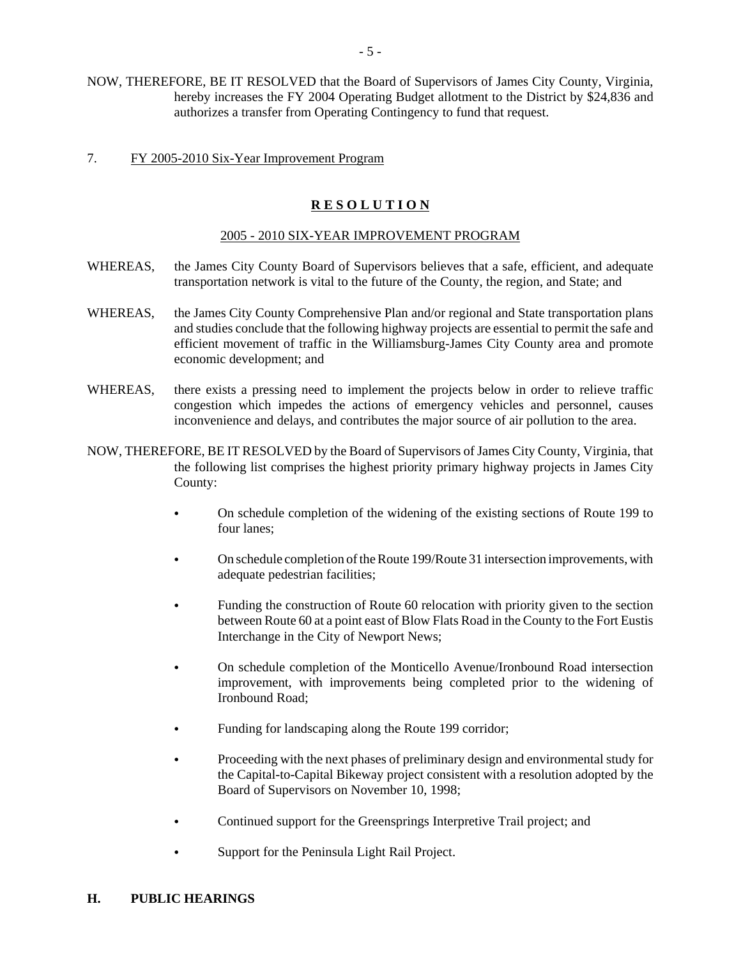NOW, THEREFORE, BE IT RESOLVED that the Board of Supervisors of James City County, Virginia, hereby increases the FY 2004 Operating Budget allotment to the District by \$24,836 and authorizes a transfer from Operating Contingency to fund that request.

#### 7. FY 2005-2010 Six-Year Improvement Program

#### **R E S O L U T I O N**

#### 2005 - 2010 SIX-YEAR IMPROVEMENT PROGRAM

- WHEREAS, the James City County Board of Supervisors believes that a safe, efficient, and adequate transportation network is vital to the future of the County, the region, and State; and
- WHEREAS, the James City County Comprehensive Plan and/or regional and State transportation plans and studies conclude that the following highway projects are essential to permit the safe and efficient movement of traffic in the Williamsburg-James City County area and promote economic development; and
- WHEREAS, there exists a pressing need to implement the projects below in order to relieve traffic congestion which impedes the actions of emergency vehicles and personnel, causes inconvenience and delays, and contributes the major source of air pollution to the area.
- NOW, THEREFORE, BE IT RESOLVED by the Board of Supervisors of James City County, Virginia, that the following list comprises the highest priority primary highway projects in James City County:
	- On schedule completion of the widening of the existing sections of Route 199 to four lanes;
	- On schedule completion of the Route 199/Route 31 intersection improvements, with adequate pedestrian facilities;
	- Funding the construction of Route 60 relocation with priority given to the section between Route 60 at a point east of Blow Flats Road in the County to the Fort Eustis Interchange in the City of Newport News;
	- On schedule completion of the Monticello Avenue/Ironbound Road intersection improvement, with improvements being completed prior to the widening of Ironbound Road;
	- Funding for landscaping along the Route 199 corridor;
	- Proceeding with the next phases of preliminary design and environmental study for the Capital-to-Capital Bikeway project consistent with a resolution adopted by the Board of Supervisors on November 10, 1998;
	- Continued support for the Greensprings Interpretive Trail project; and
	- Support for the Peninsula Light Rail Project.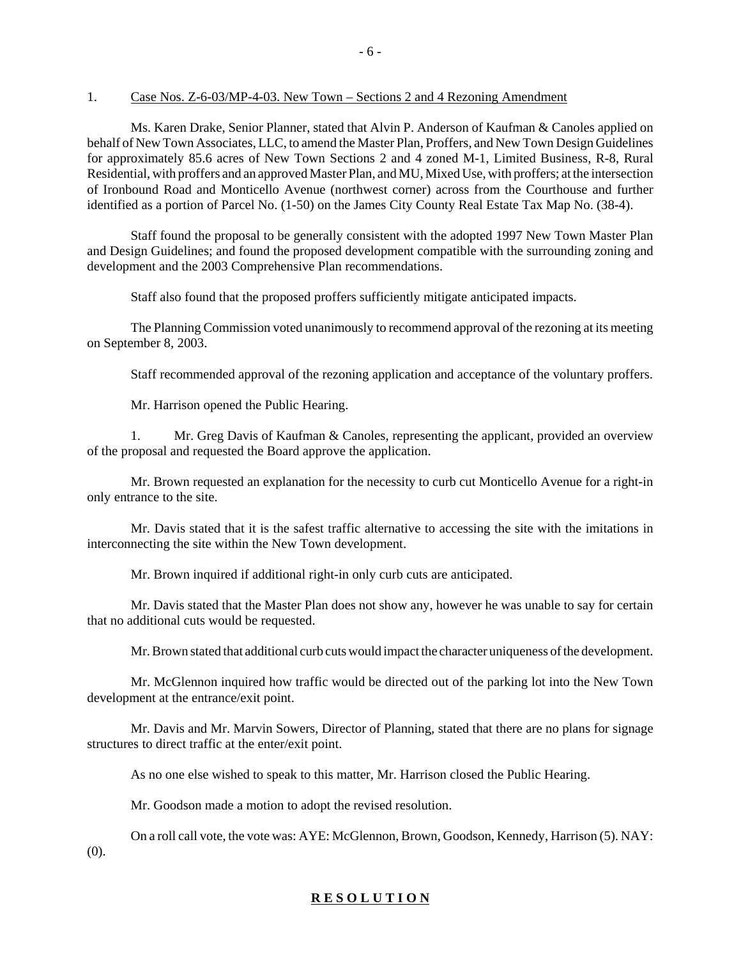#### 1. Case Nos. Z-6-03/MP-4-03. New Town – Sections 2 and 4 Rezoning Amendment

Ms. Karen Drake, Senior Planner, stated that Alvin P. Anderson of Kaufman & Canoles applied on behalf of New Town Associates, LLC, to amend the Master Plan, Proffers, and New Town Design Guidelines for approximately 85.6 acres of New Town Sections 2 and 4 zoned M-1, Limited Business, R-8, Rural Residential, with proffers and an approved Master Plan, and MU, Mixed Use, with proffers; at the intersection of Ironbound Road and Monticello Avenue (northwest corner) across from the Courthouse and further identified as a portion of Parcel No. (1-50) on the James City County Real Estate Tax Map No. (38-4).

- 6 -

Staff found the proposal to be generally consistent with the adopted 1997 New Town Master Plan and Design Guidelines; and found the proposed development compatible with the surrounding zoning and development and the 2003 Comprehensive Plan recommendations.

Staff also found that the proposed proffers sufficiently mitigate anticipated impacts.

The Planning Commission voted unanimously to recommend approval of the rezoning at its meeting on September 8, 2003.

Staff recommended approval of the rezoning application and acceptance of the voluntary proffers.

Mr. Harrison opened the Public Hearing.

1. Mr. Greg Davis of Kaufman & Canoles, representing the applicant, provided an overview of the proposal and requested the Board approve the application.

Mr. Brown requested an explanation for the necessity to curb cut Monticello Avenue for a right-in only entrance to the site.

Mr. Davis stated that it is the safest traffic alternative to accessing the site with the imitations in interconnecting the site within the New Town development.

Mr. Brown inquired if additional right-in only curb cuts are anticipated.

Mr. Davis stated that the Master Plan does not show any, however he was unable to say for certain that no additional cuts would be requested.

Mr. Brown stated that additional curb cuts would impact the character uniqueness of the development.

Mr. McGlennon inquired how traffic would be directed out of the parking lot into the New Town development at the entrance/exit point.

Mr. Davis and Mr. Marvin Sowers, Director of Planning, stated that there are no plans for signage structures to direct traffic at the enter/exit point.

As no one else wished to speak to this matter, Mr. Harrison closed the Public Hearing.

Mr. Goodson made a motion to adopt the revised resolution.

On a roll call vote, the vote was: AYE: McGlennon, Brown, Goodson, Kennedy, Harrison (5). NAY: (0).

#### **R E S O L U T I O N**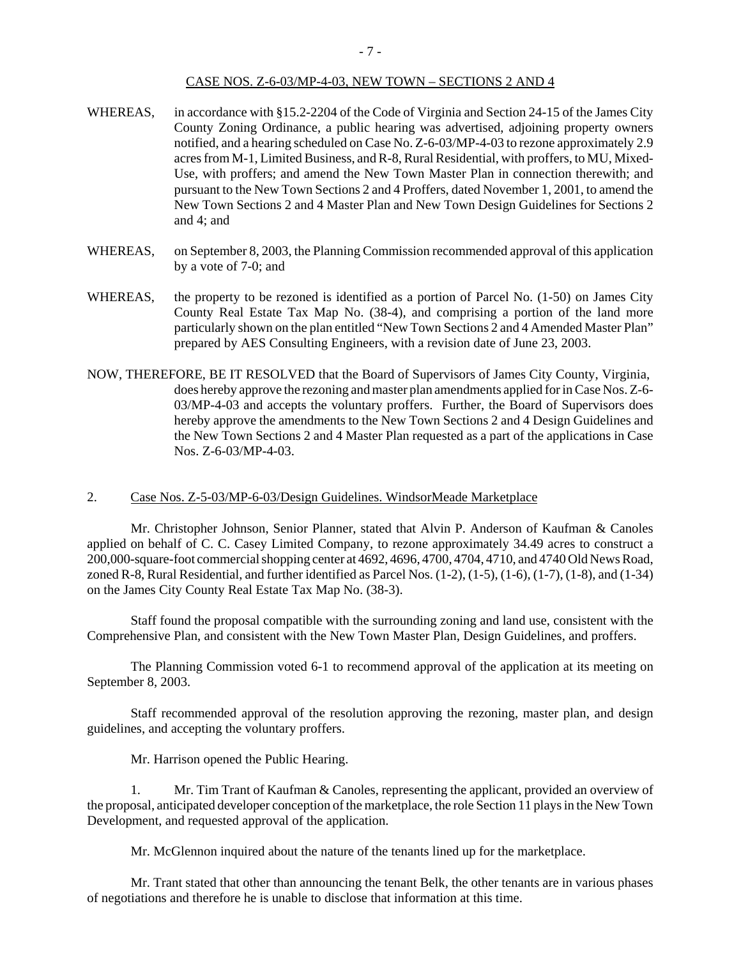- WHEREAS, in accordance with §15.2-2204 of the Code of Virginia and Section 24-15 of the James City County Zoning Ordinance, a public hearing was advertised, adjoining property owners notified, and a hearing scheduled on Case No. Z-6-03/MP-4-03 to rezone approximately 2.9 acres from M-1, Limited Business, and R-8, Rural Residential, with proffers, to MU, Mixed-Use, with proffers; and amend the New Town Master Plan in connection therewith; and pursuant to the New Town Sections 2 and 4 Proffers, dated November 1, 2001, to amend the New Town Sections 2 and 4 Master Plan and New Town Design Guidelines for Sections 2 and 4; and
- WHEREAS, on September 8, 2003, the Planning Commission recommended approval of this application by a vote of 7-0; and
- WHEREAS, the property to be rezoned is identified as a portion of Parcel No. (1-50) on James City County Real Estate Tax Map No. (38-4), and comprising a portion of the land more particularly shown on the plan entitled "New Town Sections 2 and 4 Amended Master Plan" prepared by AES Consulting Engineers, with a revision date of June 23, 2003.
- NOW, THEREFORE, BE IT RESOLVED that the Board of Supervisors of James City County, Virginia, does hereby approve the rezoning and master plan amendments applied for in Case Nos. Z-6- 03/MP-4-03 and accepts the voluntary proffers. Further, the Board of Supervisors does hereby approve the amendments to the New Town Sections 2 and 4 Design Guidelines and the New Town Sections 2 and 4 Master Plan requested as a part of the applications in Case Nos. Z-6-03/MP-4-03.

#### 2. Case Nos. Z-5-03/MP-6-03/Design Guidelines. WindsorMeade Marketplace

Mr. Christopher Johnson, Senior Planner, stated that Alvin P. Anderson of Kaufman & Canoles applied on behalf of C. C. Casey Limited Company, to rezone approximately 34.49 acres to construct a 200,000-square-foot commercial shopping center at 4692, 4696, 4700, 4704, 4710, and 4740 Old News Road, zoned R-8, Rural Residential, and further identified as Parcel Nos.  $(1-2)$ ,  $(1-5)$ ,  $(1-6)$ ,  $(1-7)$ ,  $(1-8)$ , and  $(1-34)$ on the James City County Real Estate Tax Map No. (38-3).

Staff found the proposal compatible with the surrounding zoning and land use, consistent with the Comprehensive Plan, and consistent with the New Town Master Plan, Design Guidelines, and proffers.

The Planning Commission voted 6-1 to recommend approval of the application at its meeting on September 8, 2003.

Staff recommended approval of the resolution approving the rezoning, master plan, and design guidelines, and accepting the voluntary proffers.

Mr. Harrison opened the Public Hearing.

1. Mr. Tim Trant of Kaufman & Canoles, representing the applicant, provided an overview of the proposal, anticipated developer conception of the marketplace, the role Section 11 plays in the New Town Development, and requested approval of the application.

Mr. McGlennon inquired about the nature of the tenants lined up for the marketplace.

Mr. Trant stated that other than announcing the tenant Belk, the other tenants are in various phases of negotiations and therefore he is unable to disclose that information at this time.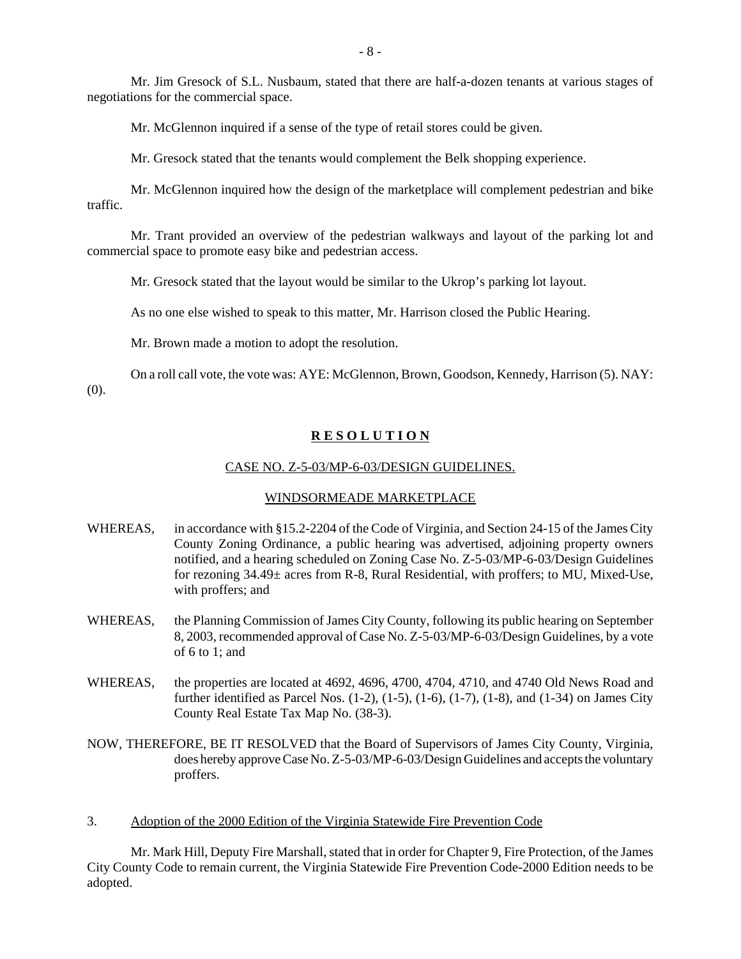Mr. Jim Gresock of S.L. Nusbaum, stated that there are half-a-dozen tenants at various stages of negotiations for the commercial space.

Mr. McGlennon inquired if a sense of the type of retail stores could be given.

Mr. Gresock stated that the tenants would complement the Belk shopping experience.

Mr. McGlennon inquired how the design of the marketplace will complement pedestrian and bike traffic.

Mr. Trant provided an overview of the pedestrian walkways and layout of the parking lot and commercial space to promote easy bike and pedestrian access.

Mr. Gresock stated that the layout would be similar to the Ukrop's parking lot layout.

As no one else wished to speak to this matter, Mr. Harrison closed the Public Hearing.

Mr. Brown made a motion to adopt the resolution.

On a roll call vote, the vote was: AYE: McGlennon, Brown, Goodson, Kennedy, Harrison (5). NAY: (0).

#### **R E S O L U T I O N**

#### CASE NO. Z-5-03/MP-6-03/DESIGN GUIDELINES.

#### WINDSORMEADE MARKETPLACE

- WHEREAS, in accordance with §15.2-2204 of the Code of Virginia, and Section 24-15 of the James City County Zoning Ordinance, a public hearing was advertised, adjoining property owners notified, and a hearing scheduled on Zoning Case No. Z-5-03/MP-6-03/Design Guidelines for rezoning 34.49± acres from R-8, Rural Residential, with proffers; to MU, Mixed-Use, with proffers; and
- WHEREAS, the Planning Commission of James City County, following its public hearing on September 8, 2003, recommended approval of Case No. Z-5-03/MP-6-03/Design Guidelines, by a vote of 6 to 1; and
- WHEREAS, the properties are located at 4692, 4696, 4700, 4704, 4710, and 4740 Old News Road and further identified as Parcel Nos.  $(1-2)$ ,  $(1-5)$ ,  $(1-6)$ ,  $(1-7)$ ,  $(1-8)$ , and  $(1-34)$  on James City County Real Estate Tax Map No. (38-3).

NOW, THEREFORE, BE IT RESOLVED that the Board of Supervisors of James City County, Virginia, does hereby approve Case No. Z-5-03/MP-6-03/Design Guidelines and accepts the voluntary proffers.

3. Adoption of the 2000 Edition of the Virginia Statewide Fire Prevention Code

Mr. Mark Hill, Deputy Fire Marshall, stated that in order for Chapter 9, Fire Protection, of the James City County Code to remain current, the Virginia Statewide Fire Prevention Code-2000 Edition needs to be adopted.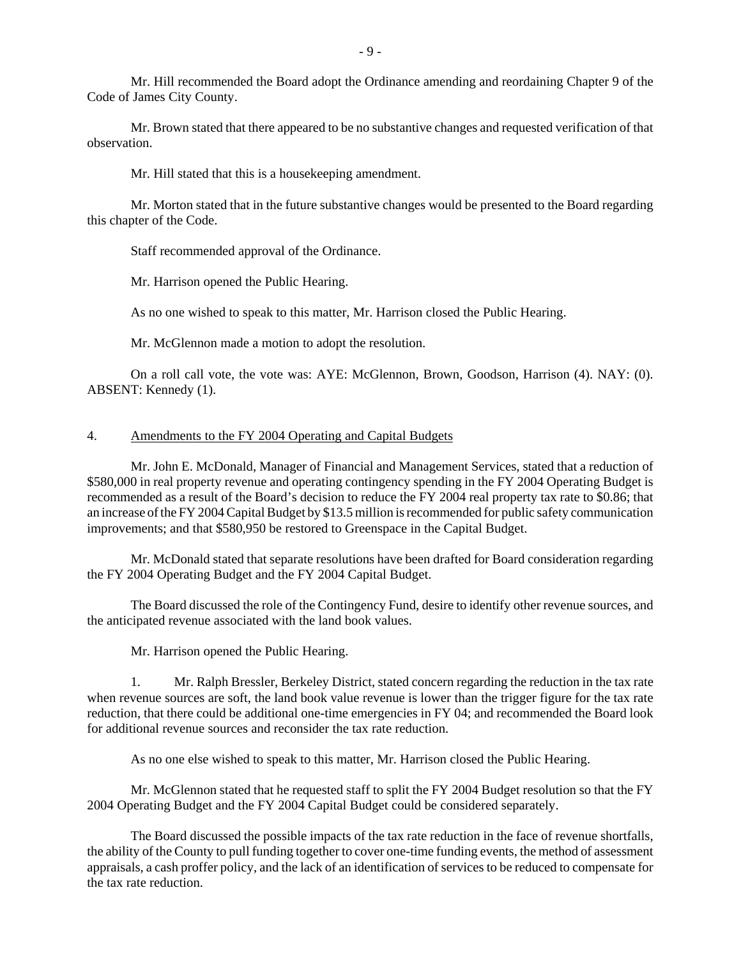Mr. Hill recommended the Board adopt the Ordinance amending and reordaining Chapter 9 of the Code of James City County.

Mr. Brown stated that there appeared to be no substantive changes and requested verification of that observation.

Mr. Hill stated that this is a housekeeping amendment.

Mr. Morton stated that in the future substantive changes would be presented to the Board regarding this chapter of the Code.

Staff recommended approval of the Ordinance.

Mr. Harrison opened the Public Hearing.

As no one wished to speak to this matter, Mr. Harrison closed the Public Hearing.

Mr. McGlennon made a motion to adopt the resolution.

On a roll call vote, the vote was: AYE: McGlennon, Brown, Goodson, Harrison (4). NAY: (0). ABSENT: Kennedy (1).

#### 4. Amendments to the FY 2004 Operating and Capital Budgets

Mr. John E. McDonald, Manager of Financial and Management Services, stated that a reduction of \$580,000 in real property revenue and operating contingency spending in the FY 2004 Operating Budget is recommended as a result of the Board's decision to reduce the FY 2004 real property tax rate to \$0.86; that an increase of the FY 2004 Capital Budget by \$13.5 million is recommended for public safety communication improvements; and that \$580,950 be restored to Greenspace in the Capital Budget.

Mr. McDonald stated that separate resolutions have been drafted for Board consideration regarding the FY 2004 Operating Budget and the FY 2004 Capital Budget.

The Board discussed the role of the Contingency Fund, desire to identify other revenue sources, and the anticipated revenue associated with the land book values.

Mr. Harrison opened the Public Hearing.

1. Mr. Ralph Bressler, Berkeley District, stated concern regarding the reduction in the tax rate when revenue sources are soft, the land book value revenue is lower than the trigger figure for the tax rate reduction, that there could be additional one-time emergencies in FY 04; and recommended the Board look for additional revenue sources and reconsider the tax rate reduction.

As no one else wished to speak to this matter, Mr. Harrison closed the Public Hearing.

Mr. McGlennon stated that he requested staff to split the FY 2004 Budget resolution so that the FY 2004 Operating Budget and the FY 2004 Capital Budget could be considered separately.

The Board discussed the possible impacts of the tax rate reduction in the face of revenue shortfalls, the ability of the County to pull funding together to cover one-time funding events, the method of assessment appraisals, a cash proffer policy, and the lack of an identification of services to be reduced to compensate for the tax rate reduction.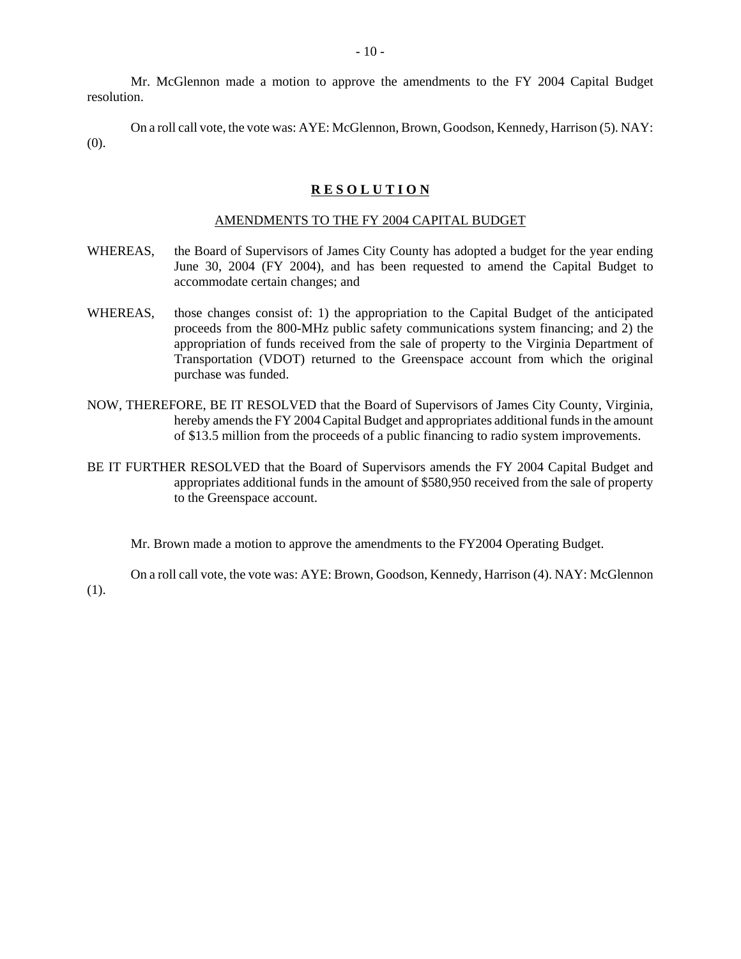Mr. McGlennon made a motion to approve the amendments to the FY 2004 Capital Budget resolution.

On a roll call vote, the vote was: AYE: McGlennon, Brown, Goodson, Kennedy, Harrison (5). NAY: (0).

#### **R E S O L U T I O N**

#### AMENDMENTS TO THE FY 2004 CAPITAL BUDGET

- WHEREAS, the Board of Supervisors of James City County has adopted a budget for the year ending June 30, 2004 (FY 2004), and has been requested to amend the Capital Budget to accommodate certain changes; and
- WHEREAS, those changes consist of: 1) the appropriation to the Capital Budget of the anticipated proceeds from the 800-MHz public safety communications system financing; and 2) the appropriation of funds received from the sale of property to the Virginia Department of Transportation (VDOT) returned to the Greenspace account from which the original purchase was funded.
- NOW, THEREFORE, BE IT RESOLVED that the Board of Supervisors of James City County, Virginia, hereby amends the FY 2004 Capital Budget and appropriates additional funds in the amount of \$13.5 million from the proceeds of a public financing to radio system improvements.
- BE IT FURTHER RESOLVED that the Board of Supervisors amends the FY 2004 Capital Budget and appropriates additional funds in the amount of \$580,950 received from the sale of property to the Greenspace account.

Mr. Brown made a motion to approve the amendments to the FY2004 Operating Budget.

(1).

On a roll call vote, the vote was: AYE: Brown, Goodson, Kennedy, Harrison (4). NAY: McGlennon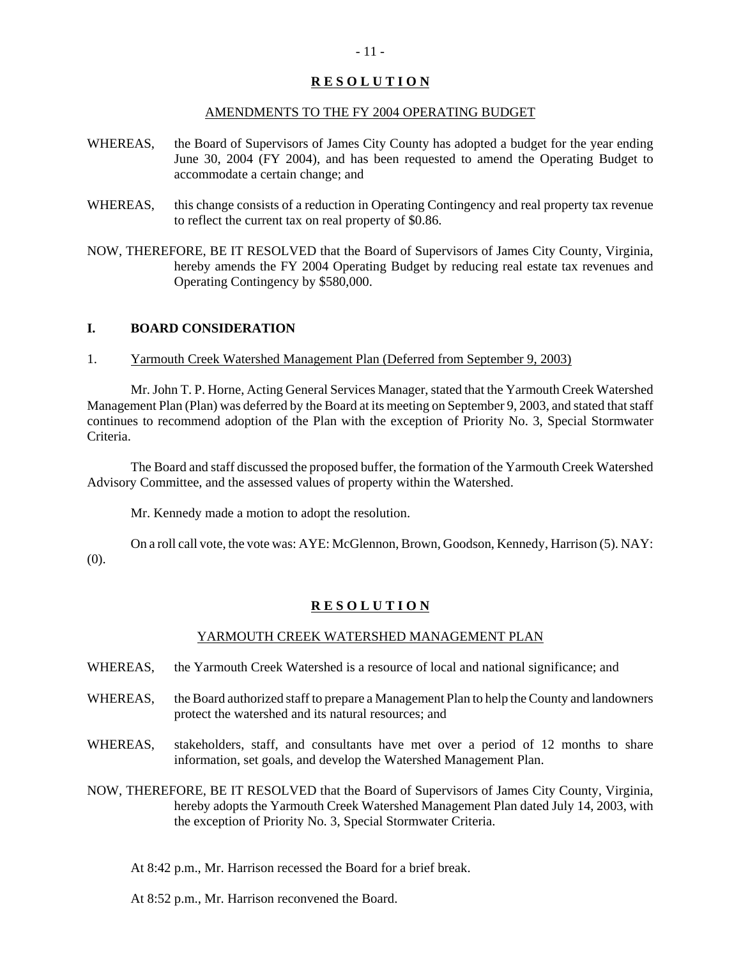#### AMENDMENTS TO THE FY 2004 OPERATING BUDGET

- WHEREAS, the Board of Supervisors of James City County has adopted a budget for the year ending June 30, 2004 (FY 2004), and has been requested to amend the Operating Budget to accommodate a certain change; and
- WHEREAS, this change consists of a reduction in Operating Contingency and real property tax revenue to reflect the current tax on real property of \$0.86.
- NOW, THEREFORE, BE IT RESOLVED that the Board of Supervisors of James City County, Virginia, hereby amends the FY 2004 Operating Budget by reducing real estate tax revenues and Operating Contingency by \$580,000.

#### **I. BOARD CONSIDERATION**

1. Yarmouth Creek Watershed Management Plan (Deferred from September 9, 2003)

Mr. John T. P. Horne, Acting General Services Manager, stated that the Yarmouth Creek Watershed Management Plan (Plan) was deferred by the Board at its meeting on September 9, 2003, and stated that staff continues to recommend adoption of the Plan with the exception of Priority No. 3, Special Stormwater Criteria.

The Board and staff discussed the proposed buffer, the formation of the Yarmouth Creek Watershed Advisory Committee, and the assessed values of property within the Watershed.

Mr. Kennedy made a motion to adopt the resolution.

On a roll call vote, the vote was: AYE: McGlennon, Brown, Goodson, Kennedy, Harrison (5). NAY: (0).

#### **R E S O L U T I O N**

#### YARMOUTH CREEK WATERSHED MANAGEMENT PLAN

- WHEREAS, the Yarmouth Creek Watershed is a resource of local and national significance; and
- WHEREAS, the Board authorized staff to prepare a Management Plan to help the County and landowners protect the watershed and its natural resources; and
- WHEREAS, stakeholders, staff, and consultants have met over a period of 12 months to share information, set goals, and develop the Watershed Management Plan.
- NOW, THEREFORE, BE IT RESOLVED that the Board of Supervisors of James City County, Virginia, hereby adopts the Yarmouth Creek Watershed Management Plan dated July 14, 2003, with the exception of Priority No. 3, Special Stormwater Criteria.

At 8:42 p.m., Mr. Harrison recessed the Board for a brief break.

At 8:52 p.m., Mr. Harrison reconvened the Board.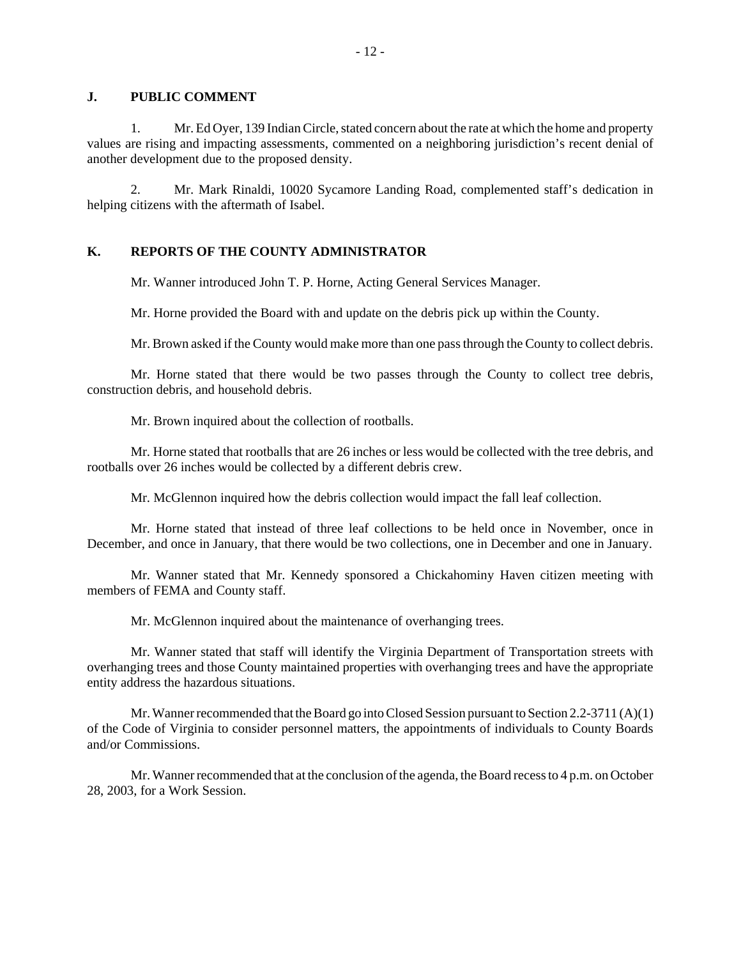#### **J. PUBLIC COMMENT**

1. Mr. Ed Oyer, 139 Indian Circle, stated concern about the rate at which the home and property values are rising and impacting assessments, commented on a neighboring jurisdiction's recent denial of another development due to the proposed density.

2. Mr. Mark Rinaldi, 10020 Sycamore Landing Road, complemented staff's dedication in helping citizens with the aftermath of Isabel.

#### **K. REPORTS OF THE COUNTY ADMINISTRATOR**

Mr. Wanner introduced John T. P. Horne, Acting General Services Manager.

Mr. Horne provided the Board with and update on the debris pick up within the County.

Mr. Brown asked if the County would make more than one pass through the County to collect debris.

Mr. Horne stated that there would be two passes through the County to collect tree debris, construction debris, and household debris.

Mr. Brown inquired about the collection of rootballs.

Mr. Horne stated that rootballs that are 26 inches or less would be collected with the tree debris, and rootballs over 26 inches would be collected by a different debris crew.

Mr. McGlennon inquired how the debris collection would impact the fall leaf collection.

Mr. Horne stated that instead of three leaf collections to be held once in November, once in December, and once in January, that there would be two collections, one in December and one in January.

Mr. Wanner stated that Mr. Kennedy sponsored a Chickahominy Haven citizen meeting with members of FEMA and County staff.

Mr. McGlennon inquired about the maintenance of overhanging trees.

Mr. Wanner stated that staff will identify the Virginia Department of Transportation streets with overhanging trees and those County maintained properties with overhanging trees and have the appropriate entity address the hazardous situations.

Mr. Wanner recommended that the Board go into Closed Session pursuant to Section 2.2-3711 (A)(1) of the Code of Virginia to consider personnel matters, the appointments of individuals to County Boards and/or Commissions.

Mr. Wanner recommended that at the conclusion of the agenda, the Board recess to 4 p.m. on October 28, 2003, for a Work Session.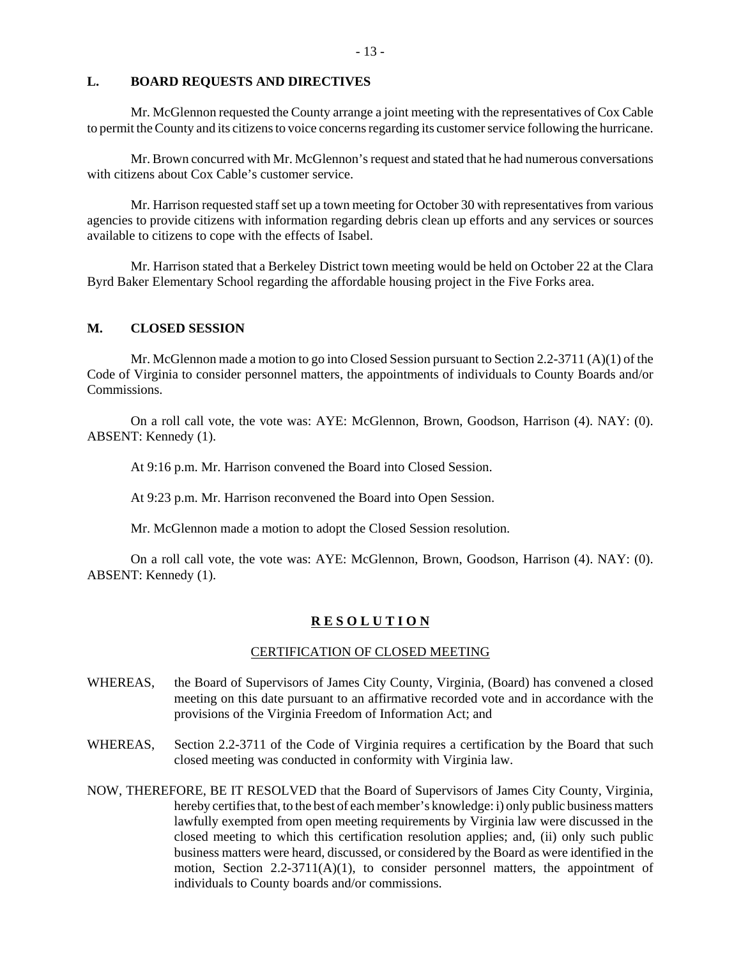#### **L. BOARD REQUESTS AND DIRECTIVES**

Mr. McGlennon requested the County arrange a joint meeting with the representatives of Cox Cable to permit the County and its citizens to voice concerns regarding its customer service following the hurricane.

Mr. Brown concurred with Mr. McGlennon's request and stated that he had numerous conversations with citizens about Cox Cable's customer service.

Mr. Harrison requested staff set up a town meeting for October 30 with representatives from various agencies to provide citizens with information regarding debris clean up efforts and any services or sources available to citizens to cope with the effects of Isabel.

Mr. Harrison stated that a Berkeley District town meeting would be held on October 22 at the Clara Byrd Baker Elementary School regarding the affordable housing project in the Five Forks area.

#### **M. CLOSED SESSION**

Mr. McGlennon made a motion to go into Closed Session pursuant to Section 2.2-3711 (A)(1) of the Code of Virginia to consider personnel matters, the appointments of individuals to County Boards and/or Commissions.

On a roll call vote, the vote was: AYE: McGlennon, Brown, Goodson, Harrison (4). NAY: (0). ABSENT: Kennedy (1).

At 9:16 p.m. Mr. Harrison convened the Board into Closed Session.

At 9:23 p.m. Mr. Harrison reconvened the Board into Open Session.

Mr. McGlennon made a motion to adopt the Closed Session resolution.

On a roll call vote, the vote was: AYE: McGlennon, Brown, Goodson, Harrison (4). NAY: (0). ABSENT: Kennedy (1).

#### **R E S O L U T I O N**

#### CERTIFICATION OF CLOSED MEETING

- WHEREAS, the Board of Supervisors of James City County, Virginia, (Board) has convened a closed meeting on this date pursuant to an affirmative recorded vote and in accordance with the provisions of the Virginia Freedom of Information Act; and
- WHEREAS, Section 2.2-3711 of the Code of Virginia requires a certification by the Board that such closed meeting was conducted in conformity with Virginia law.
- NOW, THEREFORE, BE IT RESOLVED that the Board of Supervisors of James City County, Virginia, hereby certifies that, to the best of each member's knowledge: i) only public business matters lawfully exempted from open meeting requirements by Virginia law were discussed in the closed meeting to which this certification resolution applies; and, (ii) only such public business matters were heard, discussed, or considered by the Board as were identified in the motion, Section  $2.2\n-3711(A)(1)$ , to consider personnel matters, the appointment of individuals to County boards and/or commissions.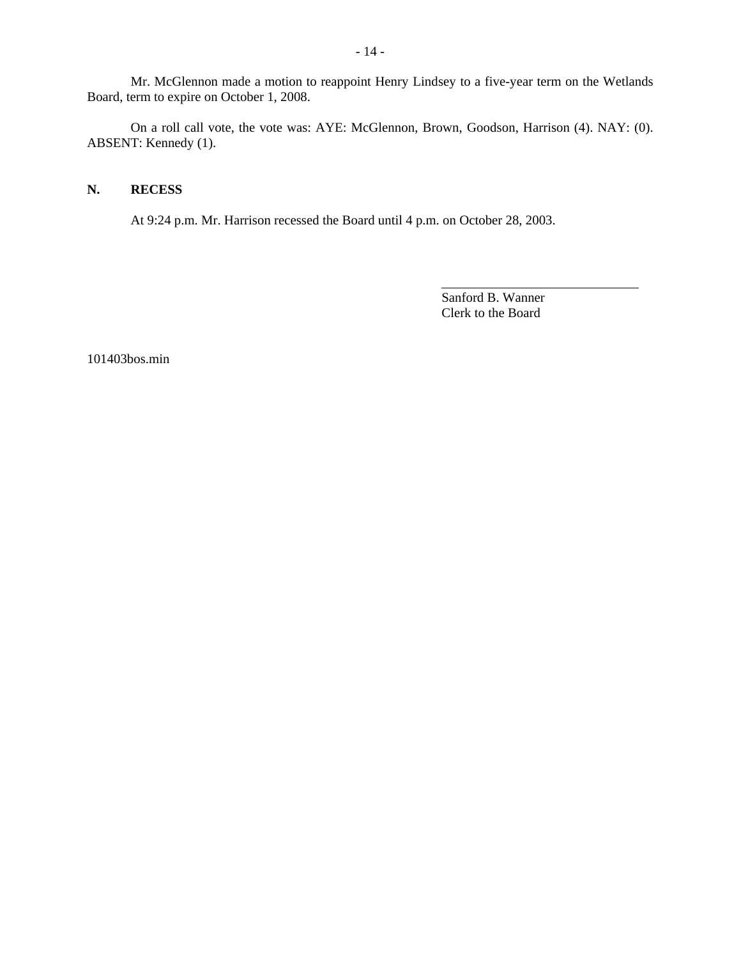Mr. McGlennon made a motion to reappoint Henry Lindsey to a five-year term on the Wetlands Board, term to expire on October 1, 2008.

On a roll call vote, the vote was: AYE: McGlennon, Brown, Goodson, Harrison (4). NAY: (0). ABSENT: Kennedy (1).

#### **N. RECESS**

At 9:24 p.m. Mr. Harrison recessed the Board until 4 p.m. on October 28, 2003.

Sanford B. Wanner Clerk to the Board

l

101403bos.min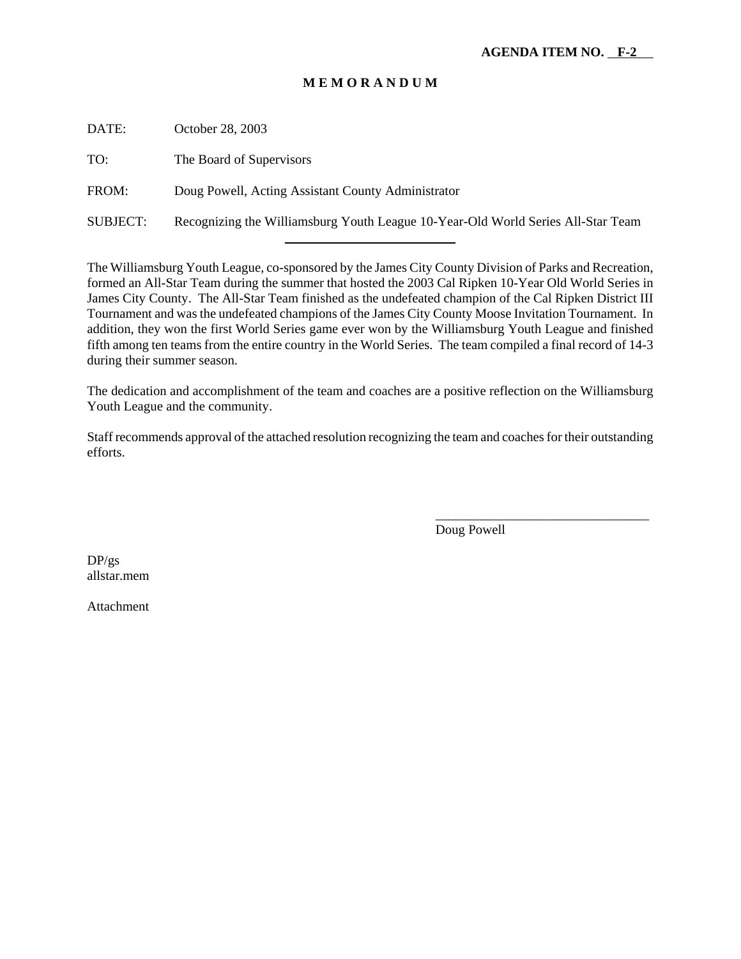| DATE:    | October 28, 2003                                                                 |
|----------|----------------------------------------------------------------------------------|
| TO:      | The Board of Supervisors                                                         |
| FROM:    | Doug Powell, Acting Assistant County Administrator                               |
| SUBJECT: | Recognizing the Williamsburg Youth League 10-Year-Old World Series All-Star Team |

l

The Williamsburg Youth League, co-sponsored by the James City County Division of Parks and Recreation, formed an All-Star Team during the summer that hosted the 2003 Cal Ripken 10-Year Old World Series in James City County. The All-Star Team finished as the undefeated champion of the Cal Ripken District III Tournament and was the undefeated champions of the James City County Moose Invitation Tournament. In addition, they won the first World Series game ever won by the Williamsburg Youth League and finished fifth among ten teams from the entire country in the World Series. The team compiled a final record of 14-3 during their summer season.

The dedication and accomplishment of the team and coaches are a positive reflection on the Williamsburg Youth League and the community.

Staff recommends approval of the attached resolution recognizing the team and coaches for their outstanding efforts.

Doug Powell

\_\_\_\_\_\_\_\_\_\_\_\_\_\_\_\_\_\_\_\_\_\_\_\_\_\_\_\_\_\_\_\_

DP/gs allstar.mem

Attachment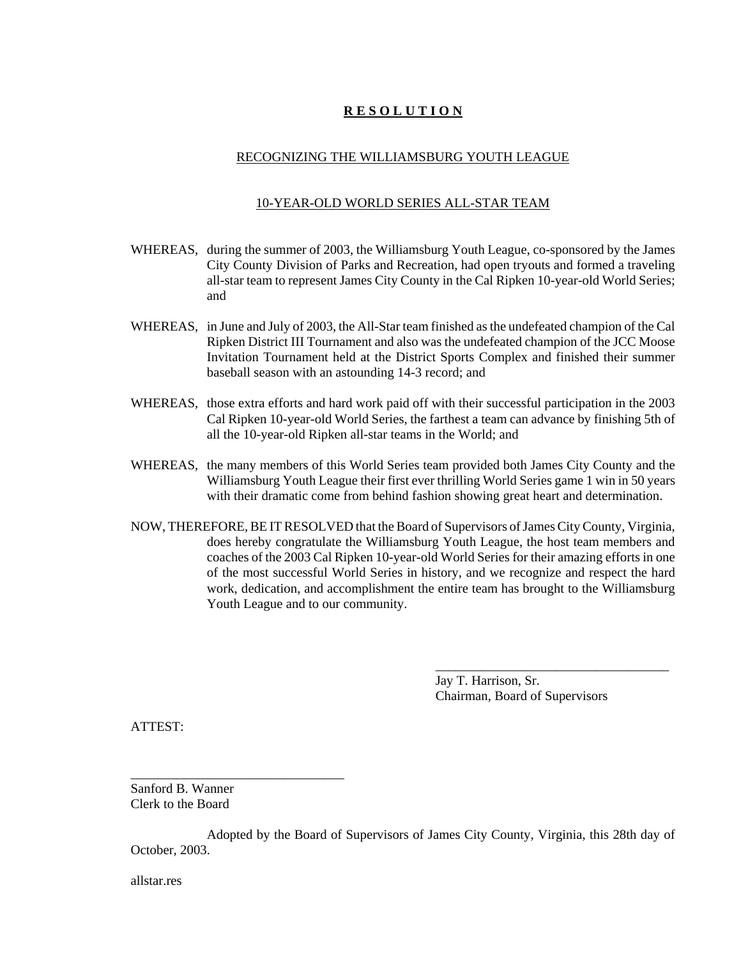#### RECOGNIZING THE WILLIAMSBURG YOUTH LEAGUE

#### 10-YEAR-OLD WORLD SERIES ALL-STAR TEAM

- WHEREAS, during the summer of 2003, the Williamsburg Youth League, co-sponsored by the James City County Division of Parks and Recreation, had open tryouts and formed a traveling all-star team to represent James City County in the Cal Ripken 10-year-old World Series; and
- WHEREAS, in June and July of 2003, the All-Star team finished as the undefeated champion of the Cal Ripken District III Tournament and also was the undefeated champion of the JCC Moose Invitation Tournament held at the District Sports Complex and finished their summer baseball season with an astounding 14-3 record; and
- WHEREAS, those extra efforts and hard work paid off with their successful participation in the 2003 Cal Ripken 10-year-old World Series, the farthest a team can advance by finishing 5th of all the 10-year-old Ripken all-star teams in the World; and
- WHEREAS, the many members of this World Series team provided both James City County and the Williamsburg Youth League their first ever thrilling World Series game 1 win in 50 years with their dramatic come from behind fashion showing great heart and determination.
- NOW, THEREFORE, BE IT RESOLVED that the Board of Supervisors of James City County, Virginia, does hereby congratulate the Williamsburg Youth League, the host team members and coaches of the 2003 Cal Ripken 10-year-old World Series for their amazing efforts in one of the most successful World Series in history, and we recognize and respect the hard work, dedication, and accomplishment the entire team has brought to the Williamsburg Youth League and to our community.

Jay T. Harrison, Sr. Chairman, Board of Supervisors

\_\_\_\_\_\_\_\_\_\_\_\_\_\_\_\_\_\_\_\_\_\_\_\_\_\_\_\_\_\_\_\_\_\_\_

ATTEST:

Sanford B. Wanner Clerk to the Board

\_\_\_\_\_\_\_\_\_\_\_\_\_\_\_\_\_\_\_\_\_\_\_\_\_\_\_\_\_\_\_\_

Adopted by the Board of Supervisors of James City County, Virginia, this 28th day of October, 2003.

allstar.res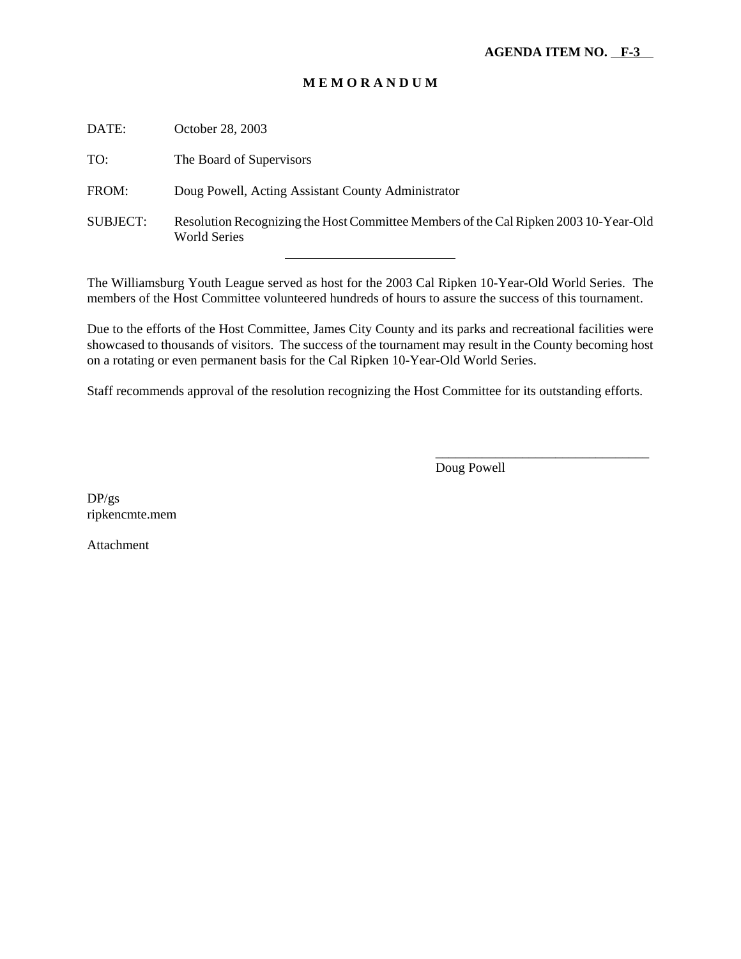| DATE:           | October 28, 2003                                                                                            |
|-----------------|-------------------------------------------------------------------------------------------------------------|
| TO:             | The Board of Supervisors                                                                                    |
| FROM:           | Doug Powell, Acting Assistant County Administrator                                                          |
| <b>SUBJECT:</b> | Resolution Recognizing the Host Committee Members of the Cal Ripken 2003 10-Year-Old<br><b>World Series</b> |
|                 |                                                                                                             |

The Williamsburg Youth League served as host for the 2003 Cal Ripken 10-Year-Old World Series. The members of the Host Committee volunteered hundreds of hours to assure the success of this tournament.

Due to the efforts of the Host Committee, James City County and its parks and recreational facilities were showcased to thousands of visitors. The success of the tournament may result in the County becoming host on a rotating or even permanent basis for the Cal Ripken 10-Year-Old World Series.

Staff recommends approval of the resolution recognizing the Host Committee for its outstanding efforts.

Doug Powell

\_\_\_\_\_\_\_\_\_\_\_\_\_\_\_\_\_\_\_\_\_\_\_\_\_\_\_\_\_\_\_\_

DP/gs ripkencmte.mem

Attachment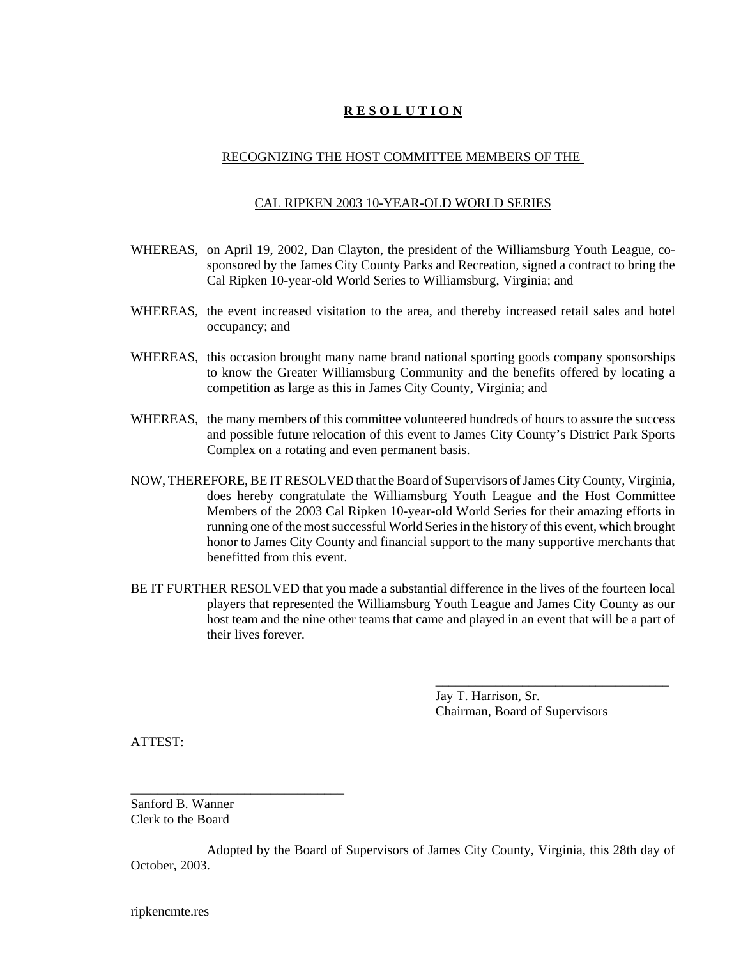#### RECOGNIZING THE HOST COMMITTEE MEMBERS OF THE

#### CAL RIPKEN 2003 10-YEAR-OLD WORLD SERIES

- WHEREAS, on April 19, 2002, Dan Clayton, the president of the Williamsburg Youth League, cosponsored by the James City County Parks and Recreation, signed a contract to bring the Cal Ripken 10-year-old World Series to Williamsburg, Virginia; and
- WHEREAS, the event increased visitation to the area, and thereby increased retail sales and hotel occupancy; and
- WHEREAS, this occasion brought many name brand national sporting goods company sponsorships to know the Greater Williamsburg Community and the benefits offered by locating a competition as large as this in James City County, Virginia; and
- WHEREAS, the many members of this committee volunteered hundreds of hours to assure the success and possible future relocation of this event to James City County's District Park Sports Complex on a rotating and even permanent basis.
- NOW, THEREFORE, BE IT RESOLVED that the Board of Supervisors of James City County, Virginia, does hereby congratulate the Williamsburg Youth League and the Host Committee Members of the 2003 Cal Ripken 10-year-old World Series for their amazing efforts in running one of the most successful World Series in the history of this event, which brought honor to James City County and financial support to the many supportive merchants that benefitted from this event.
- BE IT FURTHER RESOLVED that you made a substantial difference in the lives of the fourteen local players that represented the Williamsburg Youth League and James City County as our host team and the nine other teams that came and played in an event that will be a part of their lives forever.

Jay T. Harrison, Sr. Chairman, Board of Supervisors

\_\_\_\_\_\_\_\_\_\_\_\_\_\_\_\_\_\_\_\_\_\_\_\_\_\_\_\_\_\_\_\_\_\_\_

ATTEST:

Sanford B. Wanner Clerk to the Board

\_\_\_\_\_\_\_\_\_\_\_\_\_\_\_\_\_\_\_\_\_\_\_\_\_\_\_\_\_\_\_\_

Adopted by the Board of Supervisors of James City County, Virginia, this 28th day of October, 2003.

ripkencmte.res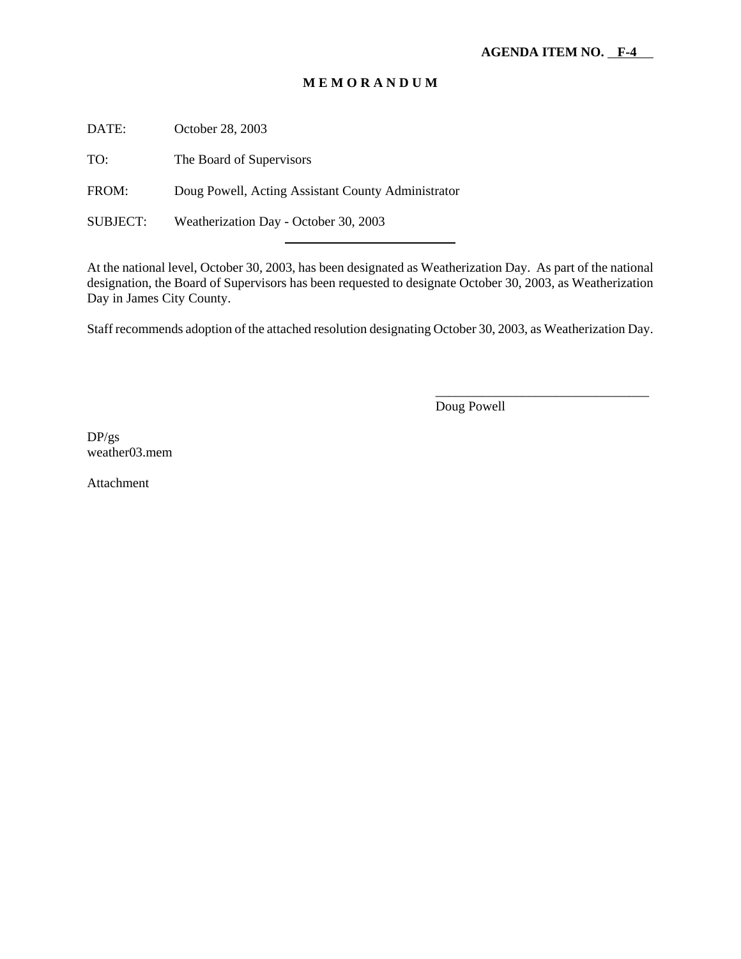DATE: October 28, 2003

TO: The Board of Supervisors

FROM: Doug Powell, Acting Assistant County Administrator

l

SUBJECT: Weatherization Day - October 30, 2003

At the national level, October 30, 2003, has been designated as Weatherization Day. As part of the national designation, the Board of Supervisors has been requested to designate October 30, 2003, as Weatherization Day in James City County.

Staff recommends adoption of the attached resolution designating October 30, 2003, as Weatherization Day.

Doug Powell

\_\_\_\_\_\_\_\_\_\_\_\_\_\_\_\_\_\_\_\_\_\_\_\_\_\_\_\_\_\_\_\_

DP/gs weather03.mem

Attachment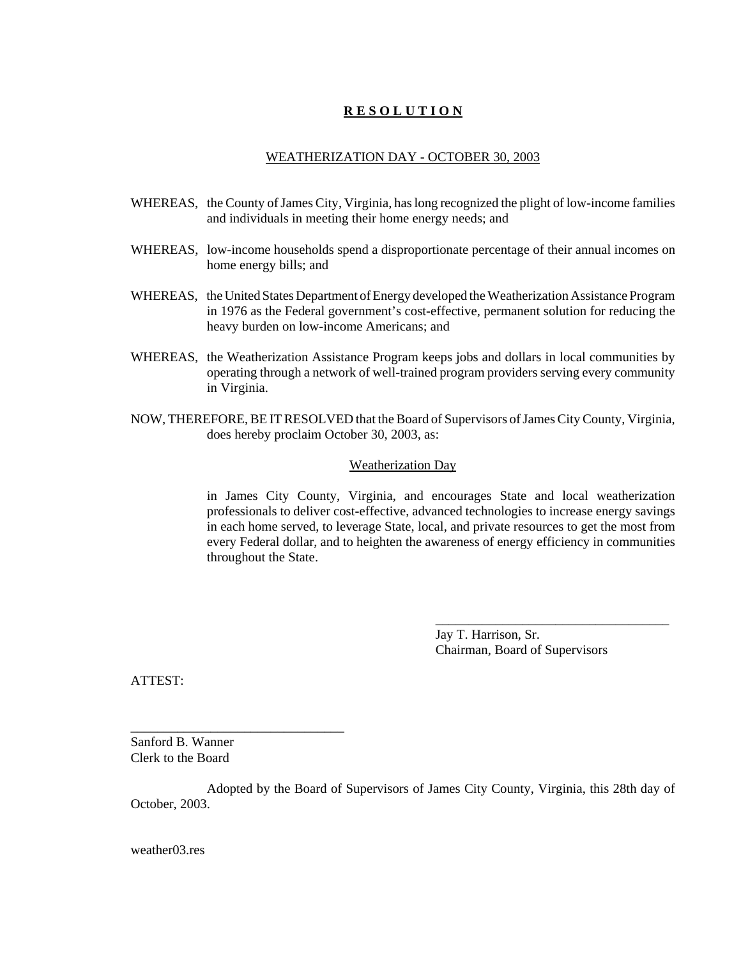#### WEATHERIZATION DAY - OCTOBER 30, 2003

- WHEREAS, the County of James City, Virginia, has long recognized the plight of low-income families and individuals in meeting their home energy needs; and
- WHEREAS, low-income households spend a disproportionate percentage of their annual incomes on home energy bills; and
- WHEREAS, the United States Department of Energy developed the Weatherization Assistance Program in 1976 as the Federal government's cost-effective, permanent solution for reducing the heavy burden on low-income Americans; and
- WHEREAS, the Weatherization Assistance Program keeps jobs and dollars in local communities by operating through a network of well-trained program providers serving every community in Virginia.
- NOW, THEREFORE, BE IT RESOLVED that the Board of Supervisors of James City County, Virginia, does hereby proclaim October 30, 2003, as:

#### Weatherization Day

in James City County, Virginia, and encourages State and local weatherization professionals to deliver cost-effective, advanced technologies to increase energy savings in each home served, to leverage State, local, and private resources to get the most from every Federal dollar, and to heighten the awareness of energy efficiency in communities throughout the State.

> Jay T. Harrison, Sr. Chairman, Board of Supervisors

\_\_\_\_\_\_\_\_\_\_\_\_\_\_\_\_\_\_\_\_\_\_\_\_\_\_\_\_\_\_\_\_\_\_\_

ATTEST:

Sanford B. Wanner Clerk to the Board

\_\_\_\_\_\_\_\_\_\_\_\_\_\_\_\_\_\_\_\_\_\_\_\_\_\_\_\_\_\_\_\_

Adopted by the Board of Supervisors of James City County, Virginia, this 28th day of October, 2003.

weather03.res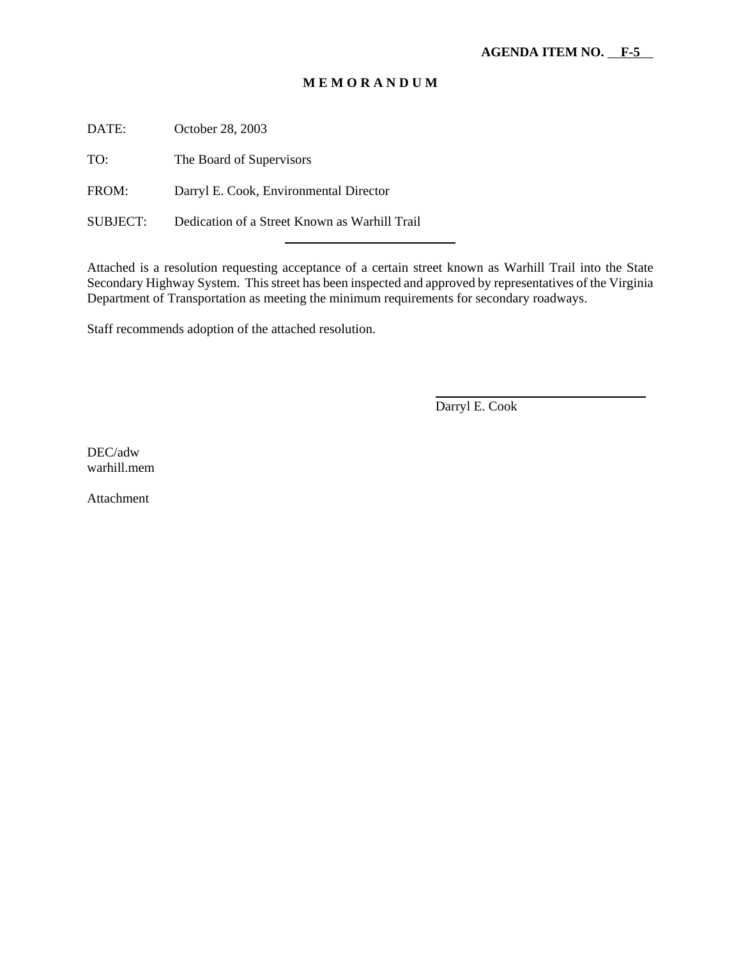DATE: October 28, 2003

TO: The Board of Supervisors

FROM: Darryl E. Cook, Environmental Director

SUBJECT: Dedication of a Street Known as Warhill Trail

l

Attached is a resolution requesting acceptance of a certain street known as Warhill Trail into the State Secondary Highway System. This street has been inspected and approved by representatives of the Virginia Department of Transportation as meeting the minimum requirements for secondary roadways.

Staff recommends adoption of the attached resolution.

Darryl E. Cook

 $\overline{a}$ 

DEC/adw warhill.mem

Attachment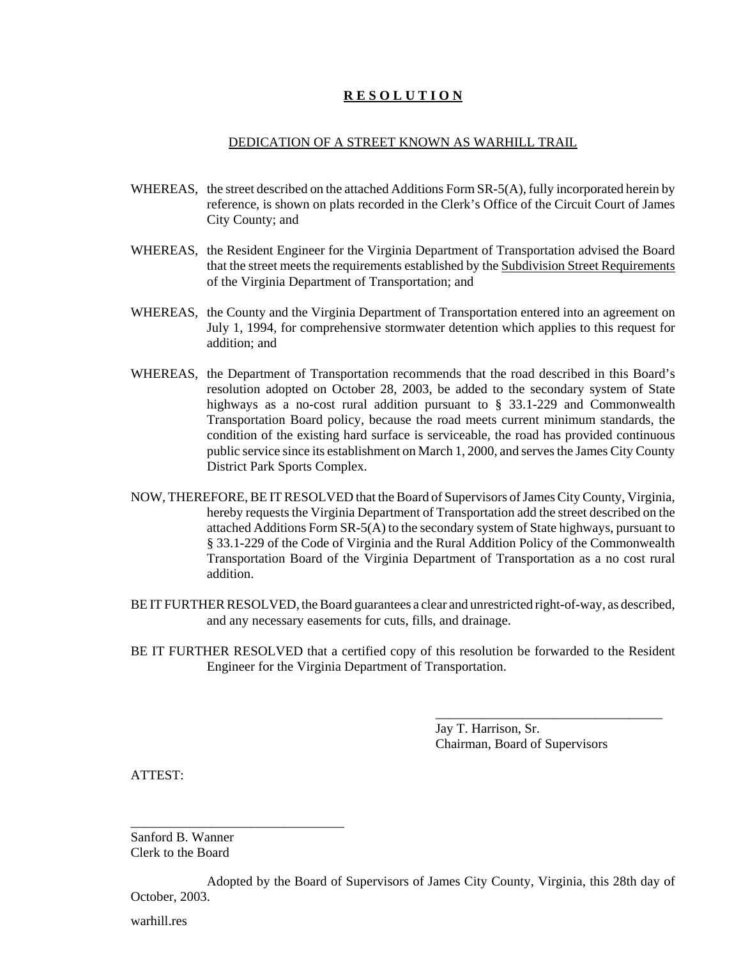#### DEDICATION OF A STREET KNOWN AS WARHILL TRAIL

- WHEREAS, the street described on the attached Additions Form SR-5(A), fully incorporated herein by reference, is shown on plats recorded in the Clerk's Office of the Circuit Court of James City County; and
- WHEREAS, the Resident Engineer for the Virginia Department of Transportation advised the Board that the street meets the requirements established by the Subdivision Street Requirements of the Virginia Department of Transportation; and
- WHEREAS, the County and the Virginia Department of Transportation entered into an agreement on July 1, 1994, for comprehensive stormwater detention which applies to this request for addition; and
- WHEREAS, the Department of Transportation recommends that the road described in this Board's resolution adopted on October 28, 2003, be added to the secondary system of State highways as a no-cost rural addition pursuant to § 33.1-229 and Commonwealth Transportation Board policy, because the road meets current minimum standards, the condition of the existing hard surface is serviceable, the road has provided continuous public service since its establishment on March 1, 2000, and serves the James City County District Park Sports Complex.
- NOW, THEREFORE, BE IT RESOLVED that the Board of Supervisors of James City County, Virginia, hereby requests the Virginia Department of Transportation add the street described on the attached Additions Form SR-5(A) to the secondary system of State highways, pursuant to § 33.1-229 of the Code of Virginia and the Rural Addition Policy of the Commonwealth Transportation Board of the Virginia Department of Transportation as a no cost rural addition.
- BE IT FURTHER RESOLVED, the Board guarantees a clear and unrestricted right-of-way, as described, and any necessary easements for cuts, fills, and drainage.
- BE IT FURTHER RESOLVED that a certified copy of this resolution be forwarded to the Resident Engineer for the Virginia Department of Transportation.

Jay T. Harrison, Sr. Chairman, Board of Supervisors

\_\_\_\_\_\_\_\_\_\_\_\_\_\_\_\_\_\_\_\_\_\_\_\_\_\_\_\_\_\_\_\_\_\_

ATTEST:

Sanford B. Wanner Clerk to the Board

\_\_\_\_\_\_\_\_\_\_\_\_\_\_\_\_\_\_\_\_\_\_\_\_\_\_\_\_\_\_\_\_

Adopted by the Board of Supervisors of James City County, Virginia, this 28th day of October, 2003.

warhill.res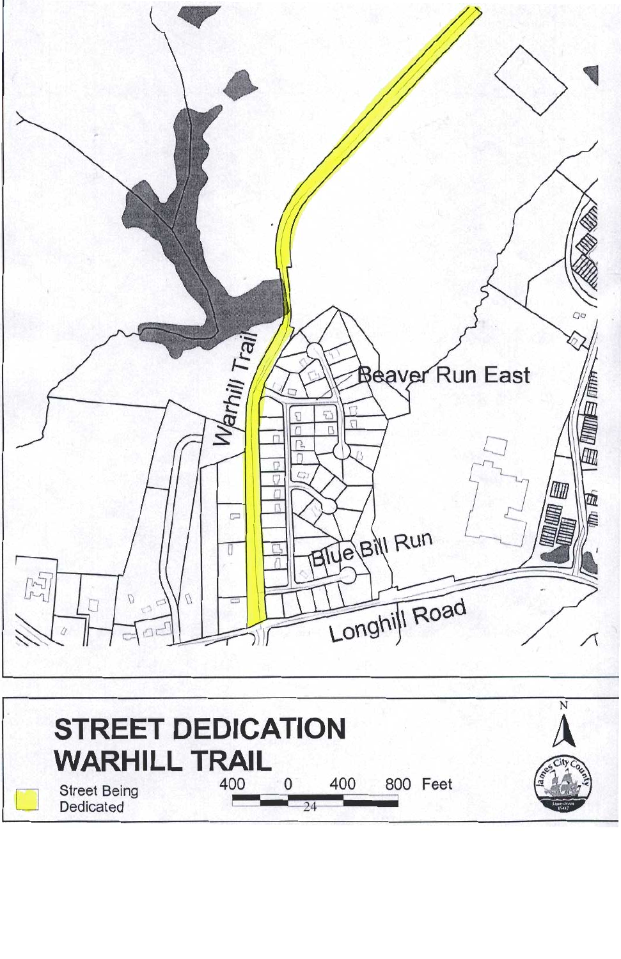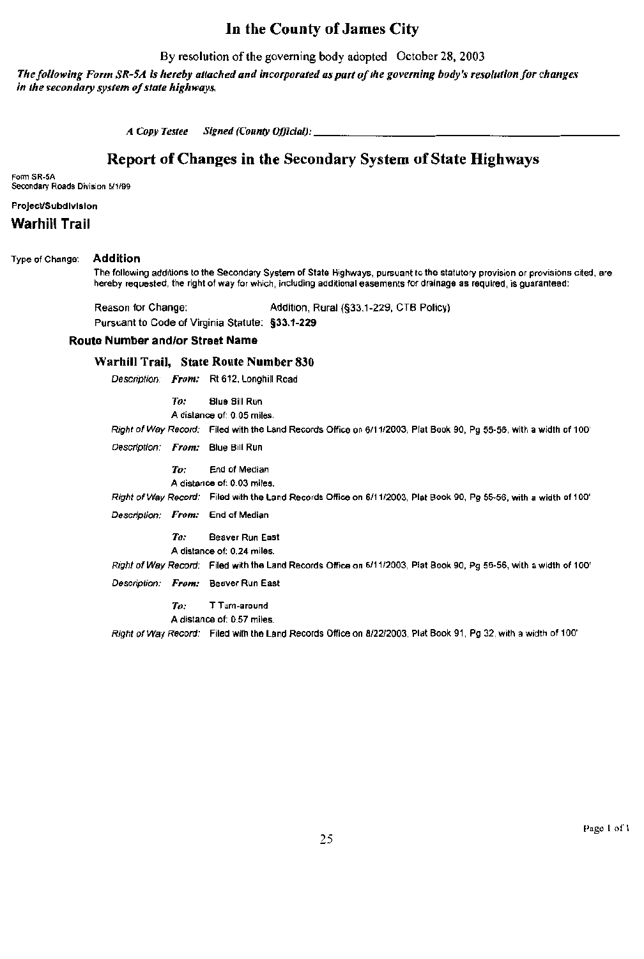## In the County of James City

By resolution of the governing body adopted October 28, 2003

The following Form SR-5A is hereby attached and incorporated as part of the governing body's resolution for changes in the secondary system of state highways.

A Copy Testee Signed (County Official):

## Report of Changes in the Secondary System of State Highways

Form SR-5A Secondary Roads Division 5/1/99

#### Project/Subdivision

Warhill Trail

#### Type of Change: **Addition**

The following additions to the Secondary System of State Highways, pursuant to the statutory provision or provisions cited, are hereby requested, the right of way for which, including additional easements for drainage as required, is guaranteed:

Reason for Change: Addition, Rural (§33.1-229, CTB Policy)

Pursuant to Code of Virginia Statute: §33.1-229

#### **Route Number and/or Street Name**

### Warhill Trail, State Route Number 830

Description: From: Rt 612, Longhill Road

 $To:$ **Blue Bill Run** 

A distance of: 0.05 miles.

Right of Way Record: Filed with the Land Records Office on 6/11/2003, Plat Book 90, Pg 55-56, with a width of 100'

Description: From: Blue Bill Run

To: End of Median A distance of: 0.03 miles.

Right of Way Record: Filed with the Land Records Office on 6/11/2003, Plat Book 90, Pg 55-56, with a width of 100'

Description: From: End of Median

 $To:$ Beaver Run East

A distance of: 0.24 miles.

Right of Way Record: Filed with the Land Records Office on 6/11/2003, Plat Book 90, Pg 55-56, with a width of 100'

Description: From: Beaver Run East

To: T Turn-around A distance of: 0.57 miles.

Right of Way Record: Filed with the Land Records Office on 8/22/2003, Plat Book 91, Pg 32, with a width of 100'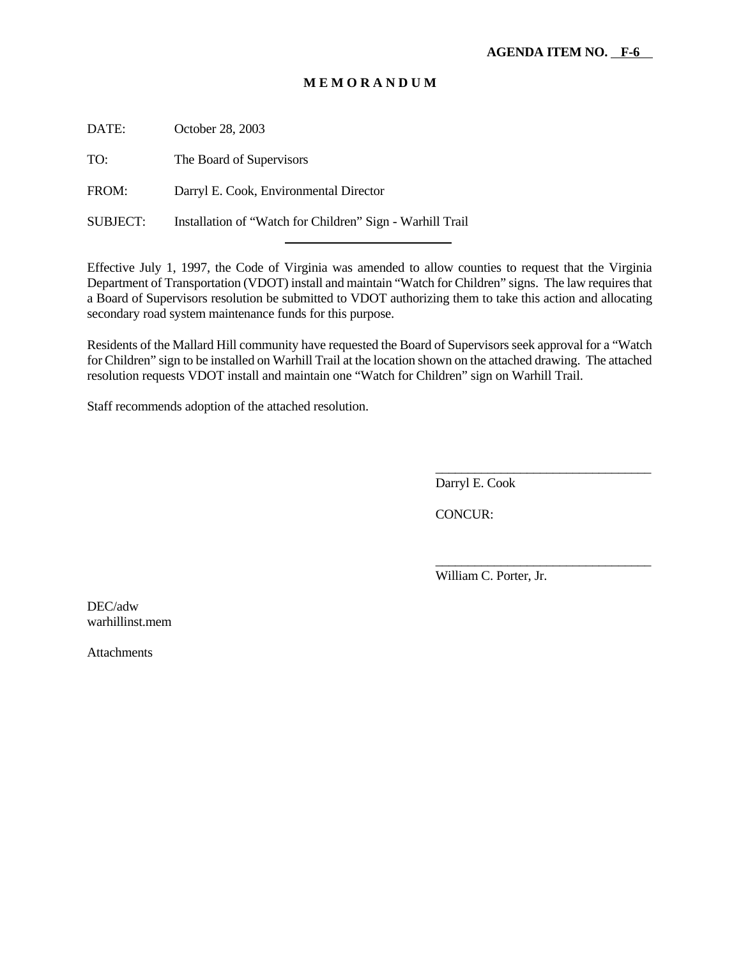DATE: October 28, 2003

TO: The Board of Supervisors

FROM: Darryl E. Cook, Environmental Director

SUBJECT: Installation of "Watch for Children" Sign - Warhill Trail

l

Effective July 1, 1997, the Code of Virginia was amended to allow counties to request that the Virginia Department of Transportation (VDOT) install and maintain "Watch for Children" signs. The law requires that a Board of Supervisors resolution be submitted to VDOT authorizing them to take this action and allocating secondary road system maintenance funds for this purpose.

Residents of the Mallard Hill community have requested the Board of Supervisors seek approval for a "Watch for Children" sign to be installed on Warhill Trail at the location shown on the attached drawing. The attached resolution requests VDOT install and maintain one "Watch for Children" sign on Warhill Trail.

Staff recommends adoption of the attached resolution.

Darryl E. Cook

CONCUR:

William C. Porter, Jr.

\_\_\_\_\_\_\_\_\_\_\_\_\_\_\_\_\_\_\_\_\_\_\_\_\_\_\_\_\_\_\_\_\_

\_\_\_\_\_\_\_\_\_\_\_\_\_\_\_\_\_\_\_\_\_\_\_\_\_\_\_\_\_\_\_\_\_

DEC/adw warhillinst.mem

Attachments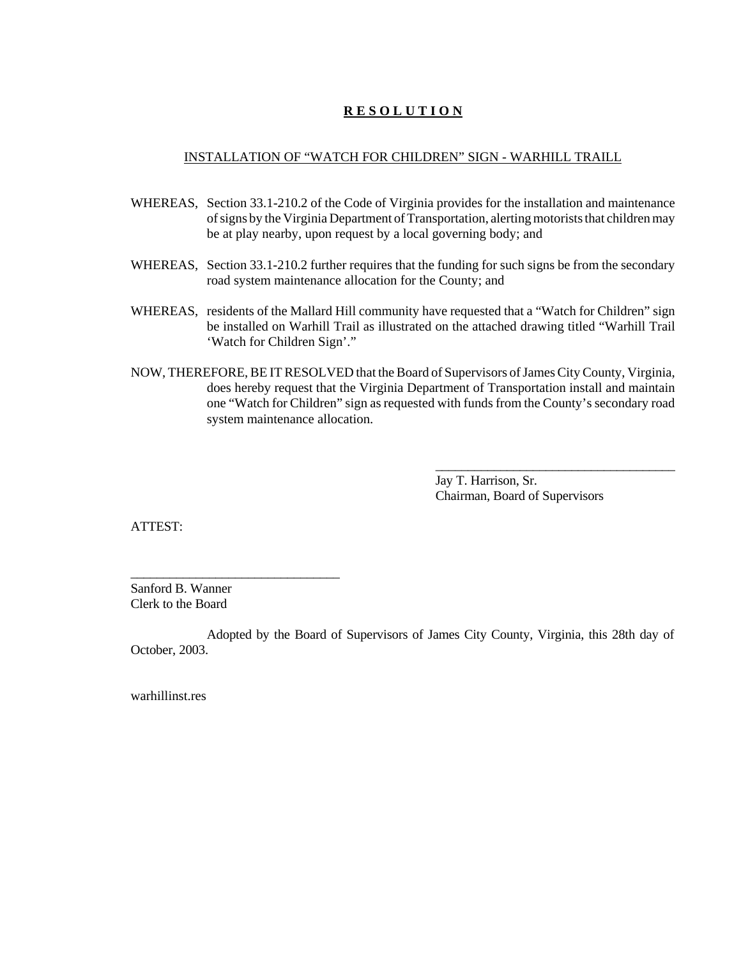#### INSTALLATION OF "WATCH FOR CHILDREN" SIGN - WARHILL TRAILL

- WHEREAS, Section 33.1-210.2 of the Code of Virginia provides for the installation and maintenance of signs by the Virginia Department of Transportation, alerting motorists that children may be at play nearby, upon request by a local governing body; and
- WHEREAS, Section 33.1-210.2 further requires that the funding for such signs be from the secondary road system maintenance allocation for the County; and
- WHEREAS, residents of the Mallard Hill community have requested that a "Watch for Children" sign be installed on Warhill Trail as illustrated on the attached drawing titled "Warhill Trail 'Watch for Children Sign'."
- NOW, THEREFORE, BE IT RESOLVED that the Board of Supervisors of James City County, Virginia, does hereby request that the Virginia Department of Transportation install and maintain one "Watch for Children" sign as requested with funds from the County's secondary road system maintenance allocation.

Jay T. Harrison, Sr. Chairman, Board of Supervisors

\_\_\_\_\_\_\_\_\_\_\_\_\_\_\_\_\_\_\_\_\_\_\_\_\_\_\_\_\_\_\_\_\_\_\_\_\_

ATTEST:

Sanford B. Wanner Clerk to the Board

\_\_\_\_\_\_\_\_\_\_\_\_\_\_\_\_\_\_\_\_\_\_\_\_\_\_\_\_\_\_\_\_

Adopted by the Board of Supervisors of James City County, Virginia, this 28th day of October, 2003.

warhillinst res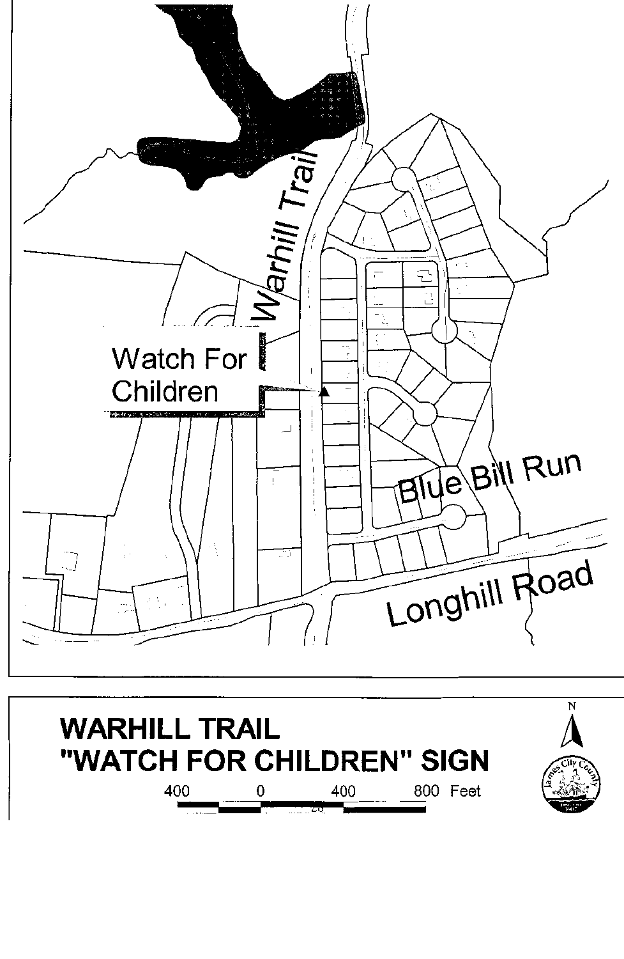

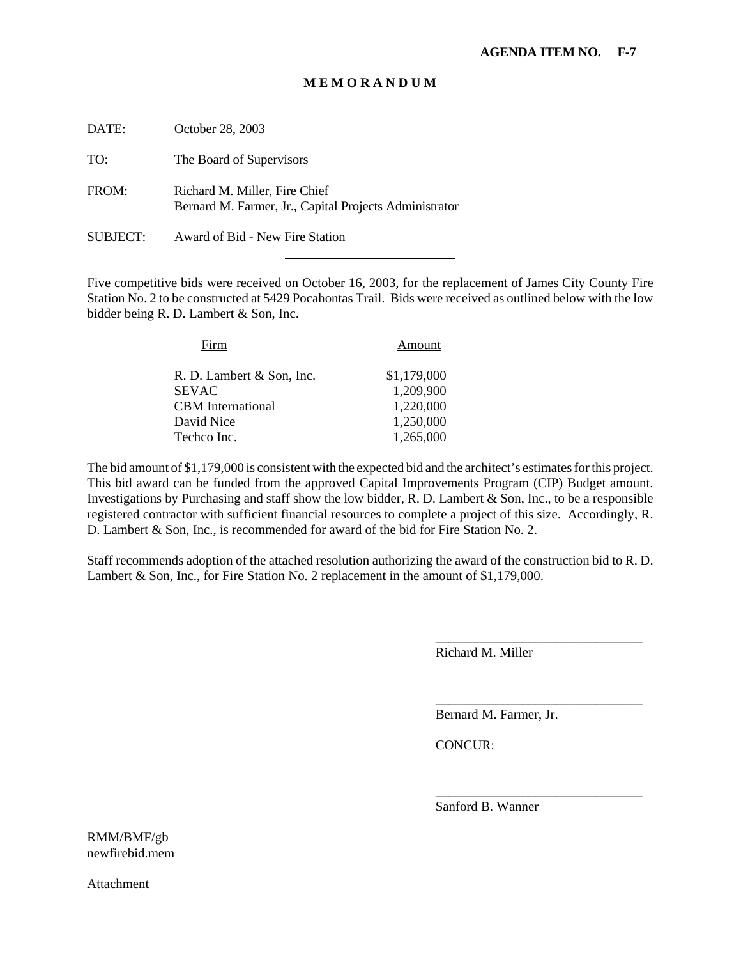| DATE:    | October 28, 2003                                                                        |
|----------|-----------------------------------------------------------------------------------------|
| TO:      | The Board of Supervisors                                                                |
| FROM:    | Richard M. Miller, Fire Chief<br>Bernard M. Farmer, Jr., Capital Projects Administrator |
| SUBJECT: | Award of Bid - New Fire Station                                                         |

l

Five competitive bids were received on October 16, 2003, for the replacement of James City County Fire Station No. 2 to be constructed at 5429 Pocahontas Trail. Bids were received as outlined below with the low bidder being R. D. Lambert & Son, Inc.

| Firm                      | Amount      |
|---------------------------|-------------|
| R. D. Lambert & Son, Inc. | \$1,179,000 |
| SEVAC                     | 1,209,900   |
| <b>CBM</b> International  | 1,220,000   |
| David Nice                | 1,250,000   |
| Techco Inc.               | 1,265,000   |

The bid amount of \$1,179,000 is consistent with the expected bid and the architect's estimates for this project. This bid award can be funded from the approved Capital Improvements Program (CIP) Budget amount. Investigations by Purchasing and staff show the low bidder, R. D. Lambert & Son, Inc., to be a responsible registered contractor with sufficient financial resources to complete a project of this size. Accordingly, R. D. Lambert & Son, Inc., is recommended for award of the bid for Fire Station No. 2.

Staff recommends adoption of the attached resolution authorizing the award of the construction bid to R. D. Lambert & Son, Inc., for Fire Station No. 2 replacement in the amount of \$1,179,000.

Richard M. Miller

\_\_\_\_\_\_\_\_\_\_\_\_\_\_\_\_\_\_\_\_\_\_\_\_\_\_\_\_\_\_\_

\_\_\_\_\_\_\_\_\_\_\_\_\_\_\_\_\_\_\_\_\_\_\_\_\_\_\_\_\_\_\_

\_\_\_\_\_\_\_\_\_\_\_\_\_\_\_\_\_\_\_\_\_\_\_\_\_\_\_\_\_\_\_

Bernard M. Farmer, Jr.

CONCUR:

Sanford B. Wanner

RMM/BMF/gb newfirebid.mem

Attachment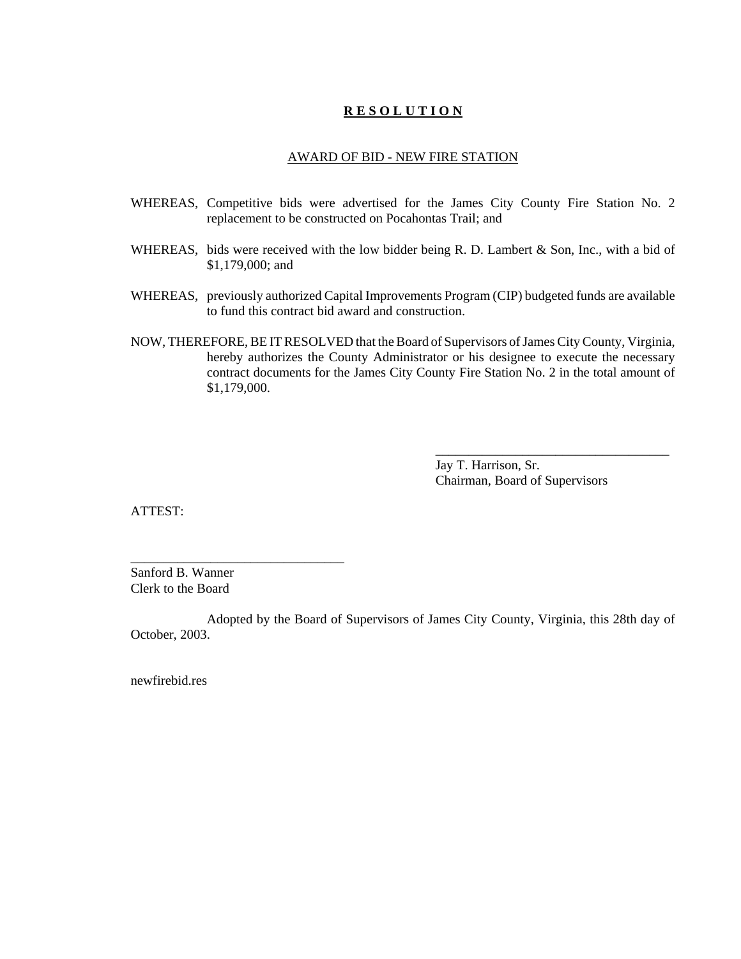#### AWARD OF BID - NEW FIRE STATION

- WHEREAS, Competitive bids were advertised for the James City County Fire Station No. 2 replacement to be constructed on Pocahontas Trail; and
- WHEREAS, bids were received with the low bidder being R. D. Lambert & Son, Inc., with a bid of \$1,179,000; and
- WHEREAS, previously authorized Capital Improvements Program (CIP) budgeted funds are available to fund this contract bid award and construction.
- NOW, THEREFORE, BE IT RESOLVED that the Board of Supervisors of James City County, Virginia, hereby authorizes the County Administrator or his designee to execute the necessary contract documents for the James City County Fire Station No. 2 in the total amount of \$1,179,000.

Jay T. Harrison, Sr. Chairman, Board of Supervisors

\_\_\_\_\_\_\_\_\_\_\_\_\_\_\_\_\_\_\_\_\_\_\_\_\_\_\_\_\_\_\_\_\_\_\_

ATTEST:

Sanford B. Wanner Clerk to the Board

\_\_\_\_\_\_\_\_\_\_\_\_\_\_\_\_\_\_\_\_\_\_\_\_\_\_\_\_\_\_\_\_

Adopted by the Board of Supervisors of James City County, Virginia, this 28th day of October, 2003.

newfirebid.res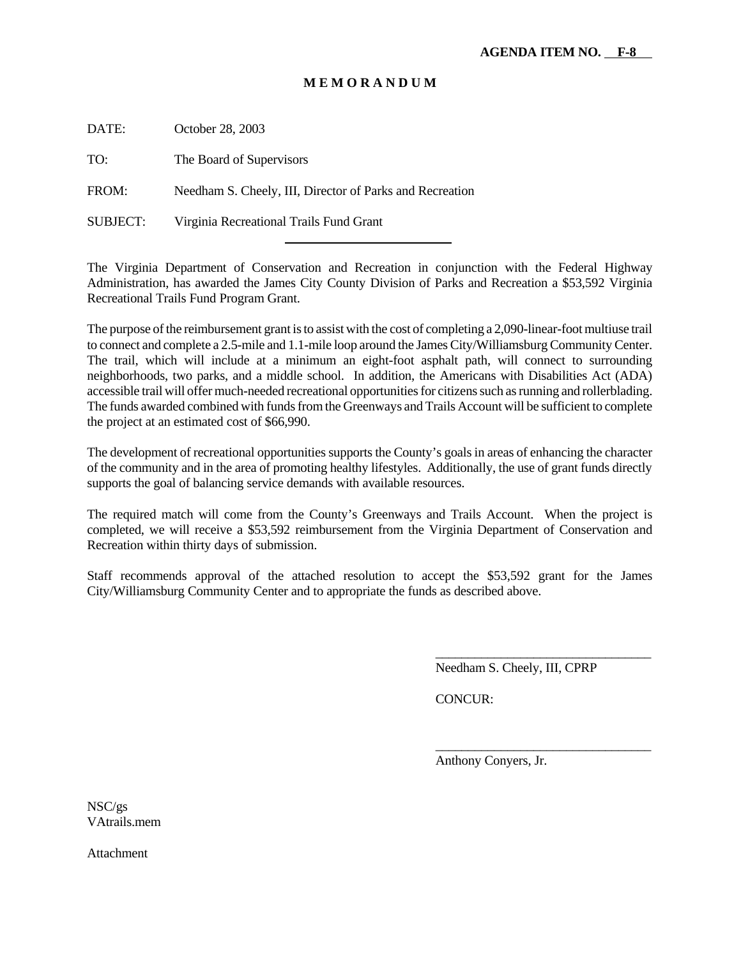DATE: October 28, 2003

TO: The Board of Supervisors

FROM: Needham S. Cheely, III, Director of Parks and Recreation

l

SUBJECT: Virginia Recreational Trails Fund Grant

The Virginia Department of Conservation and Recreation in conjunction with the Federal Highway Administration, has awarded the James City County Division of Parks and Recreation a \$53,592 Virginia Recreational Trails Fund Program Grant.

The purpose of the reimbursement grant is to assist with the cost of completing a 2,090-linear-foot multiuse trail to connect and complete a 2.5-mile and 1.1-mile loop around the James City/Williamsburg Community Center. The trail, which will include at a minimum an eight-foot asphalt path, will connect to surrounding neighborhoods, two parks, and a middle school. In addition, the Americans with Disabilities Act (ADA) accessible trail will offer much-needed recreational opportunities for citizens such as running and rollerblading. The funds awarded combined with funds from the Greenways and Trails Account will be sufficient to complete the project at an estimated cost of \$66,990.

The development of recreational opportunities supports the County's goals in areas of enhancing the character of the community and in the area of promoting healthy lifestyles. Additionally, the use of grant funds directly supports the goal of balancing service demands with available resources.

The required match will come from the County's Greenways and Trails Account. When the project is completed, we will receive a \$53,592 reimbursement from the Virginia Department of Conservation and Recreation within thirty days of submission.

Staff recommends approval of the attached resolution to accept the \$53,592 grant for the James City/Williamsburg Community Center and to appropriate the funds as described above.

Needham S. Cheely, III, CPRP

\_\_\_\_\_\_\_\_\_\_\_\_\_\_\_\_\_\_\_\_\_\_\_\_\_\_\_\_\_\_\_\_\_

\_\_\_\_\_\_\_\_\_\_\_\_\_\_\_\_\_\_\_\_\_\_\_\_\_\_\_\_\_\_\_\_\_

CONCUR:

Anthony Conyers, Jr.

NSC/gs VAtrails.mem

**Attachment**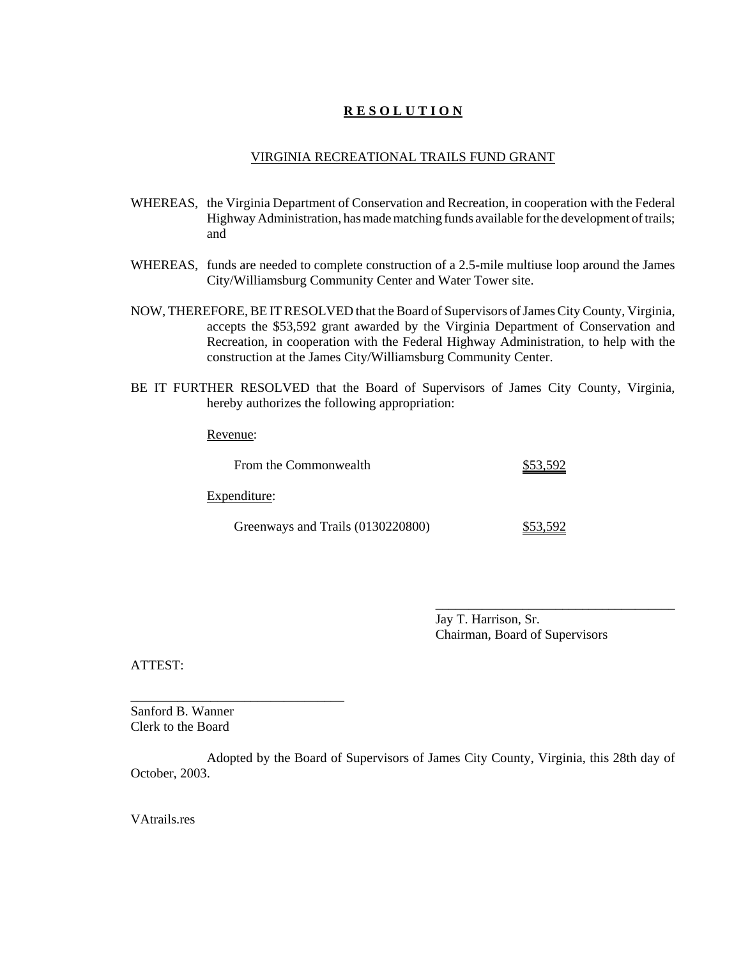#### VIRGINIA RECREATIONAL TRAILS FUND GRANT

- WHEREAS, the Virginia Department of Conservation and Recreation, in cooperation with the Federal Highway Administration, has made matching funds available for the development of trails; and
- WHEREAS, funds are needed to complete construction of a 2.5-mile multiuse loop around the James City/Williamsburg Community Center and Water Tower site.
- NOW, THEREFORE, BE IT RESOLVED that the Board of Supervisors of James City County, Virginia, accepts the \$53,592 grant awarded by the Virginia Department of Conservation and Recreation, in cooperation with the Federal Highway Administration, to help with the construction at the James City/Williamsburg Community Center.
- BE IT FURTHER RESOLVED that the Board of Supervisors of James City County, Virginia, hereby authorizes the following appropriation:

Revenue:

| From the Commonwealth             | \$53,592 |  |  |
|-----------------------------------|----------|--|--|
| Expenditure:                      |          |  |  |
| Greenways and Trails (0130220800) | \$53.592 |  |  |

Jay T. Harrison, Sr. Chairman, Board of Supervisors

\_\_\_\_\_\_\_\_\_\_\_\_\_\_\_\_\_\_\_\_\_\_\_\_\_\_\_\_\_\_\_\_\_\_\_\_

ATTEST:

Sanford B. Wanner Clerk to the Board

\_\_\_\_\_\_\_\_\_\_\_\_\_\_\_\_\_\_\_\_\_\_\_\_\_\_\_\_\_\_\_\_

Adopted by the Board of Supervisors of James City County, Virginia, this 28th day of October, 2003.

VAtrails.res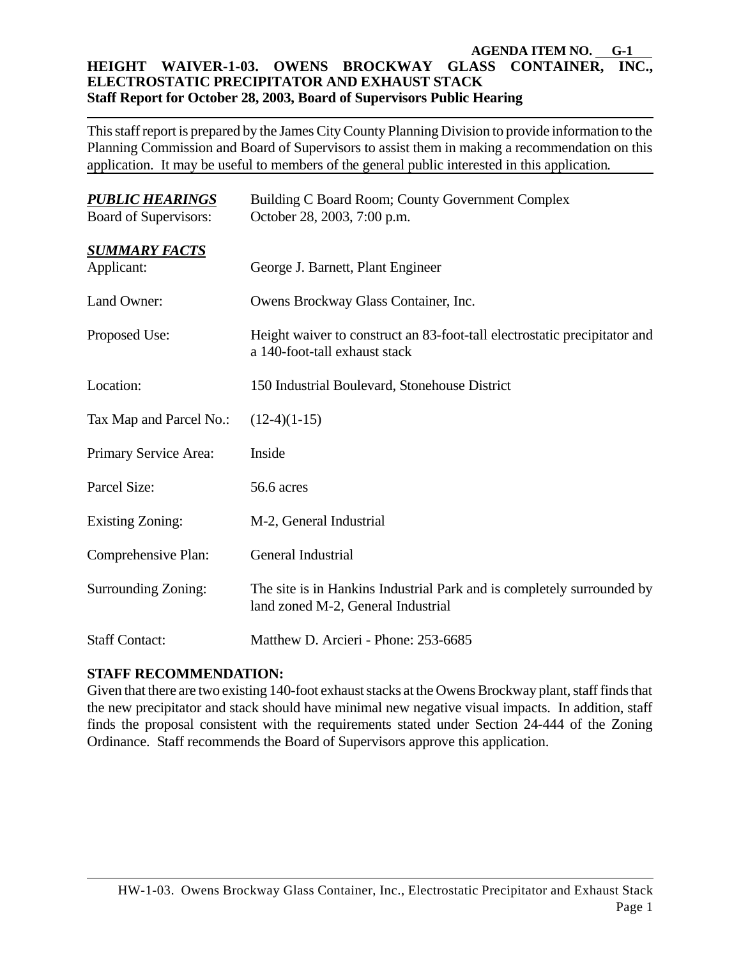#### **AGENDA ITEM NO. G-1 HEIGHT WAIVER-1-03. OWENS BROCKWAY GLASS CONTAINER, INC., ELECTROSTATIC PRECIPITATOR AND EXHAUST STACK Staff Report for October 28, 2003, Board of Supervisors Public Hearing**

This staff report is prepared by the James City County Planning Division to provide information to the Planning Commission and Board of Supervisors to assist them in making a recommendation on this application. It may be useful to members of the general public interested in this application*.*

| <b>PUBLIC HEARINGS</b><br><b>Board of Supervisors:</b> | Building C Board Room; County Government Complex<br>October 28, 2003, 7:00 p.m.                              |  |  |  |
|--------------------------------------------------------|--------------------------------------------------------------------------------------------------------------|--|--|--|
| <b>SUMMARY FACTS</b><br>Applicant:                     | George J. Barnett, Plant Engineer                                                                            |  |  |  |
| Land Owner:                                            | Owens Brockway Glass Container, Inc.                                                                         |  |  |  |
| Proposed Use:                                          | Height waiver to construct an 83-foot-tall electrostatic precipitator and<br>a 140-foot-tall exhaust stack   |  |  |  |
| Location:                                              | 150 Industrial Boulevard, Stonehouse District                                                                |  |  |  |
| Tax Map and Parcel No.:                                | $(12-4)(1-15)$                                                                                               |  |  |  |
| Primary Service Area:                                  | Inside                                                                                                       |  |  |  |
| Parcel Size:                                           | 56.6 acres                                                                                                   |  |  |  |
| <b>Existing Zoning:</b>                                | M-2, General Industrial                                                                                      |  |  |  |
| Comprehensive Plan:                                    | General Industrial                                                                                           |  |  |  |
| Surrounding Zoning:                                    | The site is in Hankins Industrial Park and is completely surrounded by<br>land zoned M-2, General Industrial |  |  |  |
| <b>Staff Contact:</b>                                  | Matthew D. Arcieri - Phone: 253-6685                                                                         |  |  |  |

#### **STAFF RECOMMENDATION:**

Given that there are two existing 140-foot exhaust stacks at the Owens Brockway plant, staff finds that the new precipitator and stack should have minimal new negative visual impacts. In addition, staff finds the proposal consistent with the requirements stated under Section 24-444 of the Zoning Ordinance. Staff recommends the Board of Supervisors approve this application.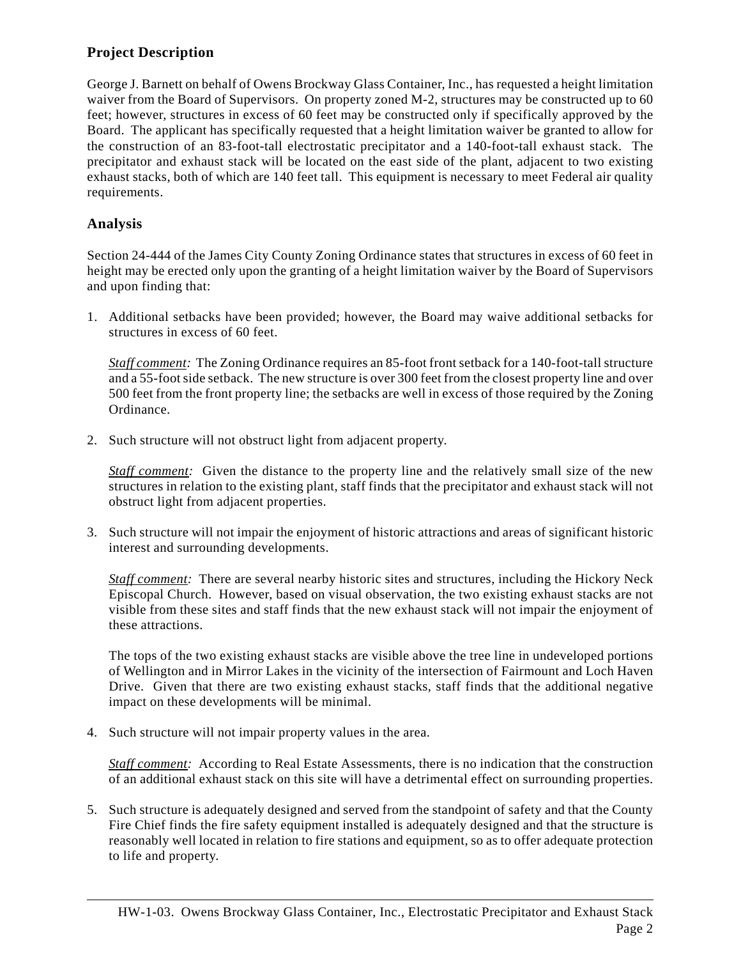#### **Project Description**

George J. Barnett on behalf of Owens Brockway Glass Container, Inc., has requested a height limitation waiver from the Board of Supervisors. On property zoned M-2, structures may be constructed up to 60 feet; however, structures in excess of 60 feet may be constructed only if specifically approved by the Board. The applicant has specifically requested that a height limitation waiver be granted to allow for the construction of an 83-foot-tall electrostatic precipitator and a 140-foot-tall exhaust stack. The precipitator and exhaust stack will be located on the east side of the plant, adjacent to two existing exhaust stacks, both of which are 140 feet tall. This equipment is necessary to meet Federal air quality requirements.

#### **Analysis**

Section 24-444 of the James City County Zoning Ordinance states that structures in excess of 60 feet in height may be erected only upon the granting of a height limitation waiver by the Board of Supervisors and upon finding that:

1. Additional setbacks have been provided; however, the Board may waive additional setbacks for structures in excess of 60 feet.

*Staff comment:* The Zoning Ordinance requires an 85-foot front setback for a 140-foot-tall structure and a 55-foot side setback. The new structure is over 300 feet from the closest property line and over 500 feet from the front property line; the setbacks are well in excess of those required by the Zoning Ordinance.

2. Such structure will not obstruct light from adjacent property.

*Staff comment:* Given the distance to the property line and the relatively small size of the new structures in relation to the existing plant, staff finds that the precipitator and exhaust stack will not obstruct light from adjacent properties.

3. Such structure will not impair the enjoyment of historic attractions and areas of significant historic interest and surrounding developments.

*Staff comment:* There are several nearby historic sites and structures, including the Hickory Neck Episcopal Church. However, based on visual observation, the two existing exhaust stacks are not visible from these sites and staff finds that the new exhaust stack will not impair the enjoyment of these attractions.

The tops of the two existing exhaust stacks are visible above the tree line in undeveloped portions of Wellington and in Mirror Lakes in the vicinity of the intersection of Fairmount and Loch Haven Drive. Given that there are two existing exhaust stacks, staff finds that the additional negative impact on these developments will be minimal.

4. Such structure will not impair property values in the area.

*Staff comment:* According to Real Estate Assessments, there is no indication that the construction of an additional exhaust stack on this site will have a detrimental effect on surrounding properties.

5. Such structure is adequately designed and served from the standpoint of safety and that the County Fire Chief finds the fire safety equipment installed is adequately designed and that the structure is reasonably well located in relation to fire stations and equipment, so as to offer adequate protection to life and property.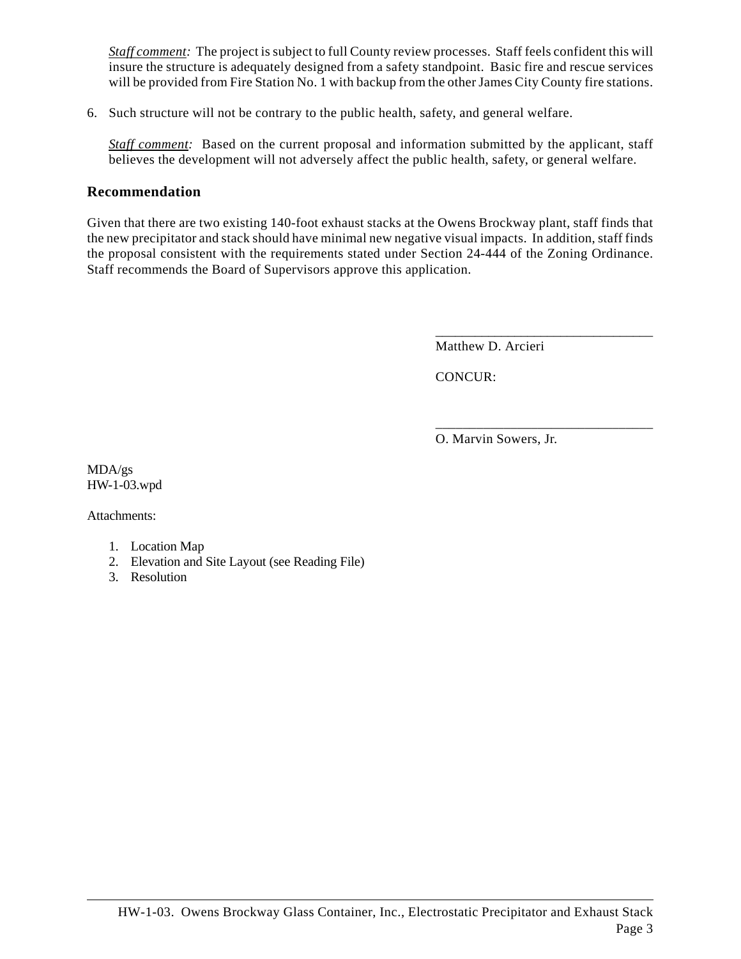*Staff comment:* The project is subject to full County review processes. Staff feels confident this will insure the structure is adequately designed from a safety standpoint. Basic fire and rescue services will be provided from Fire Station No. 1 with backup from the other James City County fire stations.

6. Such structure will not be contrary to the public health, safety, and general welfare.

*Staff comment:* Based on the current proposal and information submitted by the applicant, staff believes the development will not adversely affect the public health, safety, or general welfare.

#### **Recommendation**

Given that there are two existing 140-foot exhaust stacks at the Owens Brockway plant, staff finds that the new precipitator and stack should have minimal new negative visual impacts. In addition, staff finds the proposal consistent with the requirements stated under Section 24-444 of the Zoning Ordinance. Staff recommends the Board of Supervisors approve this application.

Matthew D. Arcieri

\_\_\_\_\_\_\_\_\_\_\_\_\_\_\_\_\_\_\_\_\_\_\_\_\_\_\_\_\_\_\_\_\_

\_\_\_\_\_\_\_\_\_\_\_\_\_\_\_\_\_\_\_\_\_\_\_\_\_\_\_\_\_\_\_\_

CONCUR:

O. Marvin Sowers, Jr.

MDA/gs HW-1-03.wpd

Attachments:

- 1. Location Map
- 2. Elevation and Site Layout (see Reading File)
- 3. Resolution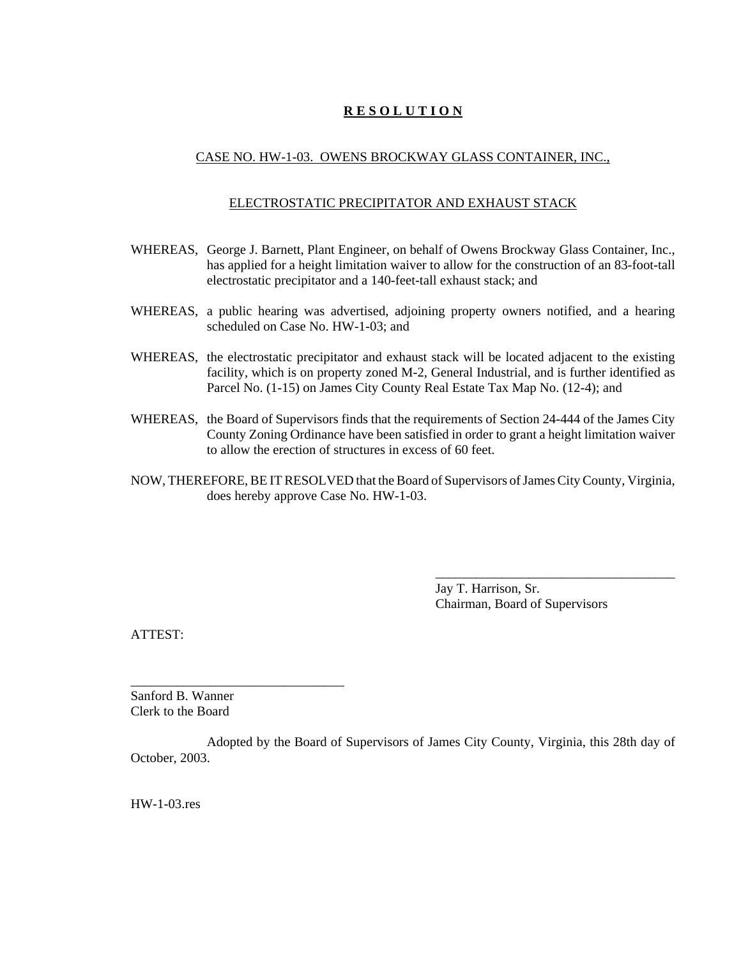#### CASE NO. HW-1-03. OWENS BROCKWAY GLASS CONTAINER, INC.,

#### ELECTROSTATIC PRECIPITATOR AND EXHAUST STACK

- WHEREAS, George J. Barnett, Plant Engineer, on behalf of Owens Brockway Glass Container, Inc., has applied for a height limitation waiver to allow for the construction of an 83-foot-tall electrostatic precipitator and a 140-feet-tall exhaust stack; and
- WHEREAS, a public hearing was advertised, adjoining property owners notified, and a hearing scheduled on Case No. HW-1-03; and
- WHEREAS, the electrostatic precipitator and exhaust stack will be located adjacent to the existing facility, which is on property zoned M-2, General Industrial, and is further identified as Parcel No. (1-15) on James City County Real Estate Tax Map No. (12-4); and
- WHEREAS, the Board of Supervisors finds that the requirements of Section 24-444 of the James City County Zoning Ordinance have been satisfied in order to grant a height limitation waiver to allow the erection of structures in excess of 60 feet.
- NOW, THEREFORE, BE IT RESOLVED that the Board of Supervisors of James City County, Virginia, does hereby approve Case No. HW-1-03.

Jay T. Harrison, Sr. Chairman, Board of Supervisors

\_\_\_\_\_\_\_\_\_\_\_\_\_\_\_\_\_\_\_\_\_\_\_\_\_\_\_\_\_\_\_\_\_\_\_\_

ATTEST:

Sanford B. Wanner Clerk to the Board

\_\_\_\_\_\_\_\_\_\_\_\_\_\_\_\_\_\_\_\_\_\_\_\_\_\_\_\_\_\_\_\_

Adopted by the Board of Supervisors of James City County, Virginia, this 28th day of October, 2003.

HW-1-03.res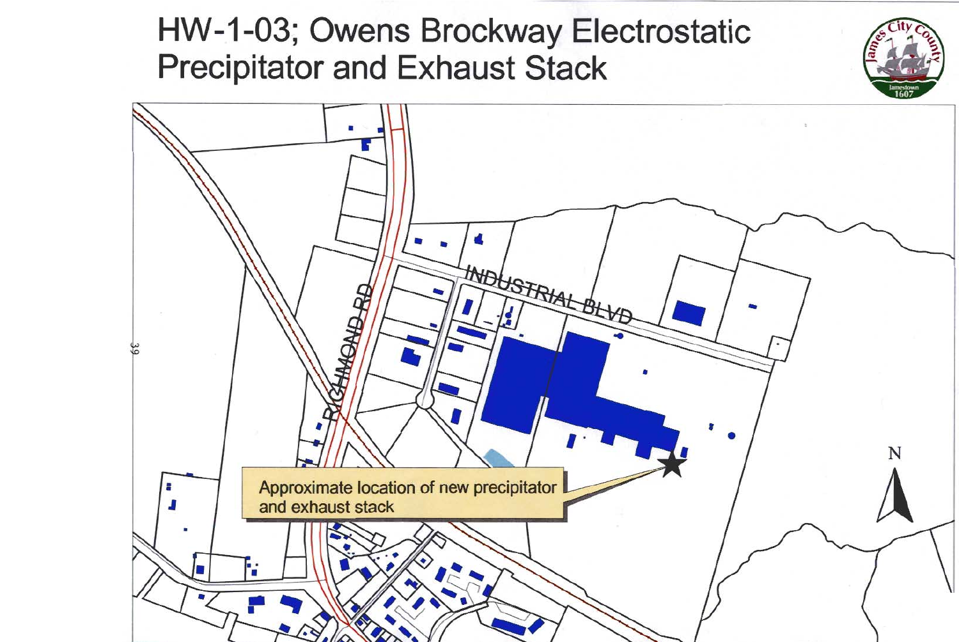# HW-1-03; Owens Brockway Electrostatic **Precipitator and Exhaust Stack**

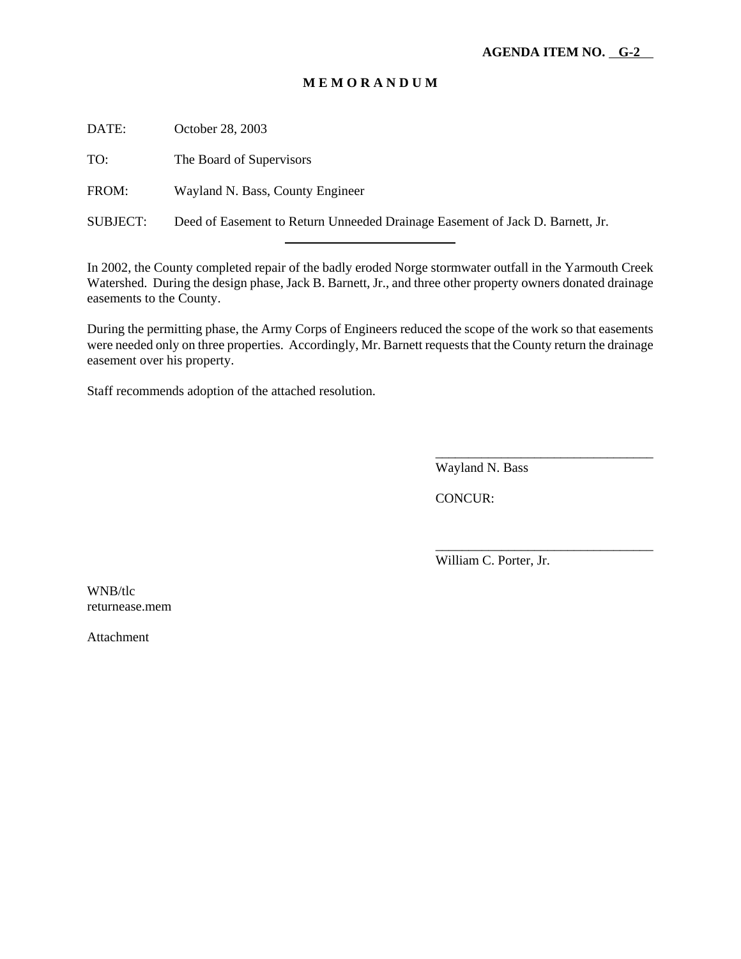DATE: October 28, 2003

TO: The Board of Supervisors

FROM: Wayland N. Bass, County Engineer

SUBJECT: Deed of Easement to Return Unneeded Drainage Easement of Jack D. Barnett, Jr.

l

In 2002, the County completed repair of the badly eroded Norge stormwater outfall in the Yarmouth Creek Watershed. During the design phase, Jack B. Barnett, Jr., and three other property owners donated drainage easements to the County.

During the permitting phase, the Army Corps of Engineers reduced the scope of the work so that easements were needed only on three properties. Accordingly, Mr. Barnett requests that the County return the drainage easement over his property.

Staff recommends adoption of the attached resolution.

Wayland N. Bass

\_\_\_\_\_\_\_\_\_\_\_\_\_\_\_\_\_\_\_\_\_\_\_\_\_\_\_\_\_\_\_\_\_

\_\_\_\_\_\_\_\_\_\_\_\_\_\_\_\_\_\_\_\_\_\_\_\_\_\_\_\_\_\_\_\_\_

CONCUR:

William C. Porter, Jr.

WNB/tlc returnease.mem

Attachment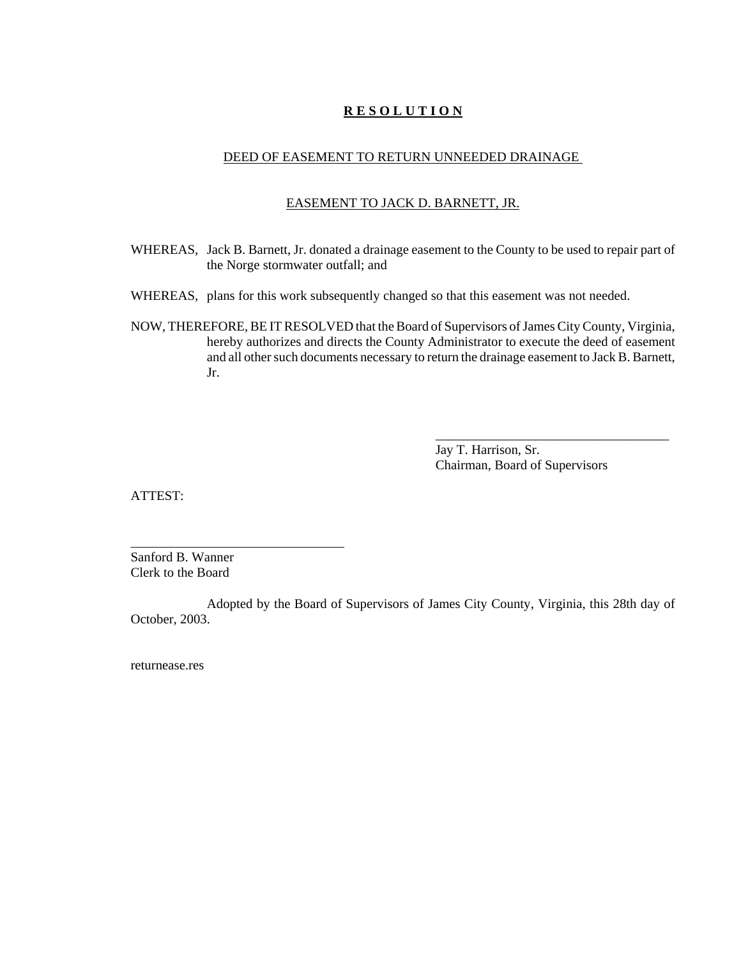#### DEED OF EASEMENT TO RETURN UNNEEDED DRAINAGE

#### EASEMENT TO JACK D. BARNETT, JR.

- WHEREAS, Jack B. Barnett, Jr. donated a drainage easement to the County to be used to repair part of the Norge stormwater outfall; and
- WHEREAS, plans for this work subsequently changed so that this easement was not needed.
- NOW, THEREFORE, BE IT RESOLVED that the Board of Supervisors of James City County, Virginia, hereby authorizes and directs the County Administrator to execute the deed of easement and all other such documents necessary to return the drainage easement to Jack B. Barnett, Jr.

Jay T. Harrison, Sr. Chairman, Board of Supervisors

\_\_\_\_\_\_\_\_\_\_\_\_\_\_\_\_\_\_\_\_\_\_\_\_\_\_\_\_\_\_\_\_\_\_\_

ATTEST:

Sanford B. Wanner Clerk to the Board

\_\_\_\_\_\_\_\_\_\_\_\_\_\_\_\_\_\_\_\_\_\_\_\_\_\_\_\_\_\_\_\_

Adopted by the Board of Supervisors of James City County, Virginia, this 28th day of October, 2003.

returnease.res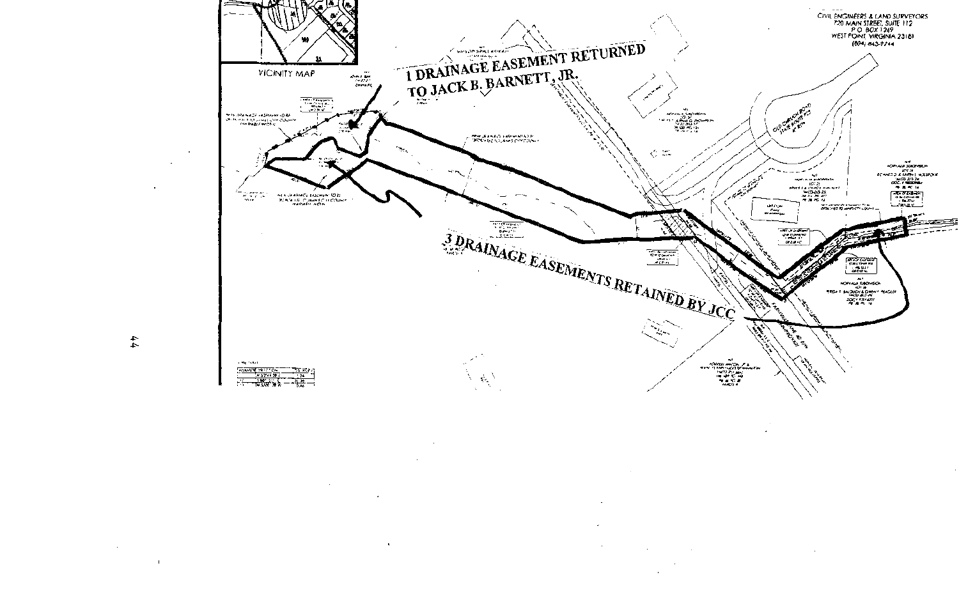

 $\overline{\phantom{a}}$ 

 $\ddot{\phantom{0}}$ 

÷.

 $\mathbf{I}$ 

 $\overline{\phantom{a}}$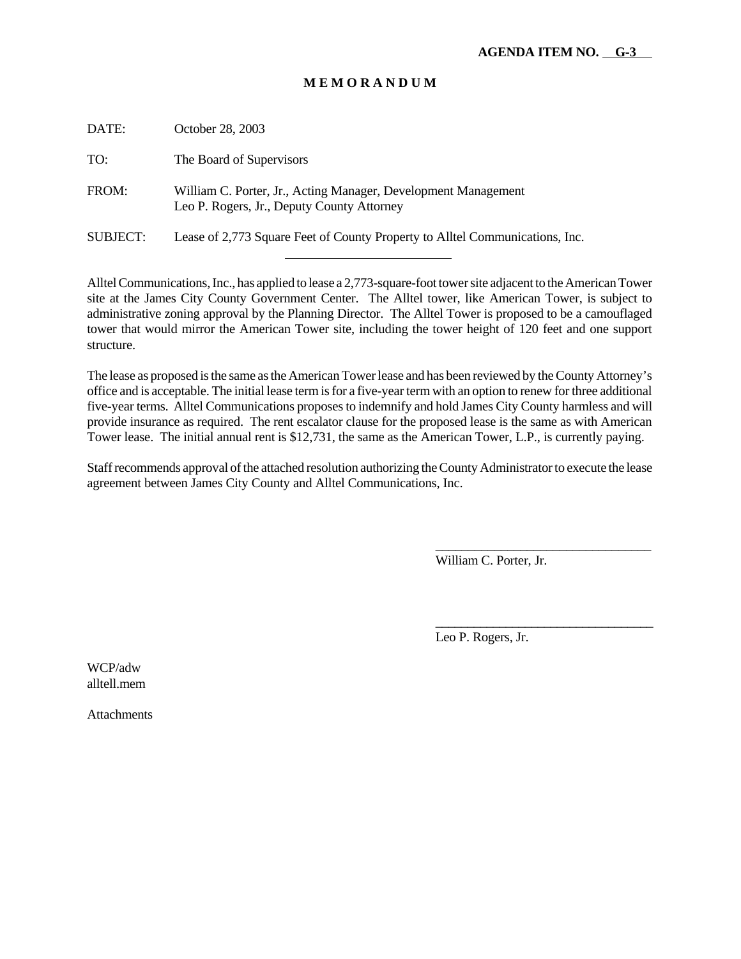| DATE:           | October 28, 2003                                                                                             |
|-----------------|--------------------------------------------------------------------------------------------------------------|
| TO:             | The Board of Supervisors                                                                                     |
| FROM:           | William C. Porter, Jr., Acting Manager, Development Management<br>Leo P. Rogers, Jr., Deputy County Attorney |
| <b>SUBJECT:</b> | Lease of 2,773 Square Feet of County Property to Alltel Communications, Inc.                                 |
|                 |                                                                                                              |

Alltel Communications, Inc., has applied to lease a 2,773-square-foot tower site adjacent to the American Tower site at the James City County Government Center. The Alltel tower, like American Tower, is subject to administrative zoning approval by the Planning Director. The Alltel Tower is proposed to be a camouflaged tower that would mirror the American Tower site, including the tower height of 120 feet and one support structure.

The lease as proposed is the same as the American Tower lease and has been reviewed by the County Attorney's office and is acceptable. The initial lease term is for a five-year term with an option to renew for three additional five-year terms. Alltel Communications proposes to indemnify and hold James City County harmless and will provide insurance as required. The rent escalator clause for the proposed lease is the same as with American Tower lease. The initial annual rent is \$12,731, the same as the American Tower, L.P., is currently paying.

Staff recommends approval of the attached resolution authorizing the County Administrator to execute the lease agreement between James City County and Alltel Communications, Inc.

William C. Porter, Jr.

\_\_\_\_\_\_\_\_\_\_\_\_\_\_\_\_\_\_\_\_\_\_\_\_\_\_\_\_\_\_\_\_\_

\_\_\_\_\_\_\_\_\_\_\_\_\_\_\_\_\_\_\_\_\_\_\_\_\_\_\_\_\_\_\_\_\_\_

Leo P. Rogers, Jr.

WCP/adw alltell.mem

**Attachments**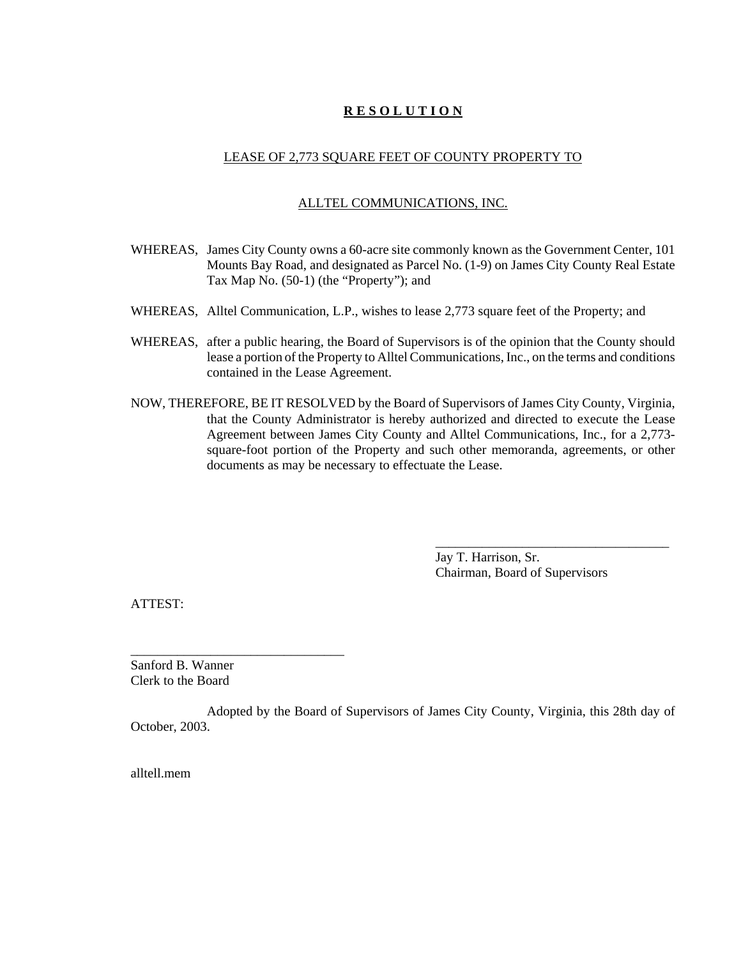#### LEASE OF 2,773 SQUARE FEET OF COUNTY PROPERTY TO

#### ALLTEL COMMUNICATIONS, INC.

- WHEREAS, James City County owns a 60-acre site commonly known as the Government Center, 101 Mounts Bay Road, and designated as Parcel No. (1-9) on James City County Real Estate Tax Map No. (50-1) (the "Property"); and
- WHEREAS, Alltel Communication, L.P., wishes to lease 2,773 square feet of the Property; and
- WHEREAS, after a public hearing, the Board of Supervisors is of the opinion that the County should lease a portion of the Property to Alltel Communications, Inc., on the terms and conditions contained in the Lease Agreement.
- NOW, THEREFORE, BE IT RESOLVED by the Board of Supervisors of James City County, Virginia, that the County Administrator is hereby authorized and directed to execute the Lease Agreement between James City County and Alltel Communications, Inc., for a 2,773 square-foot portion of the Property and such other memoranda, agreements, or other documents as may be necessary to effectuate the Lease.

Jay T. Harrison, Sr. Chairman, Board of Supervisors

\_\_\_\_\_\_\_\_\_\_\_\_\_\_\_\_\_\_\_\_\_\_\_\_\_\_\_\_\_\_\_\_\_\_\_

ATTEST:

Sanford B. Wanner Clerk to the Board

\_\_\_\_\_\_\_\_\_\_\_\_\_\_\_\_\_\_\_\_\_\_\_\_\_\_\_\_\_\_\_\_

Adopted by the Board of Supervisors of James City County, Virginia, this 28th day of October, 2003.

alltell.mem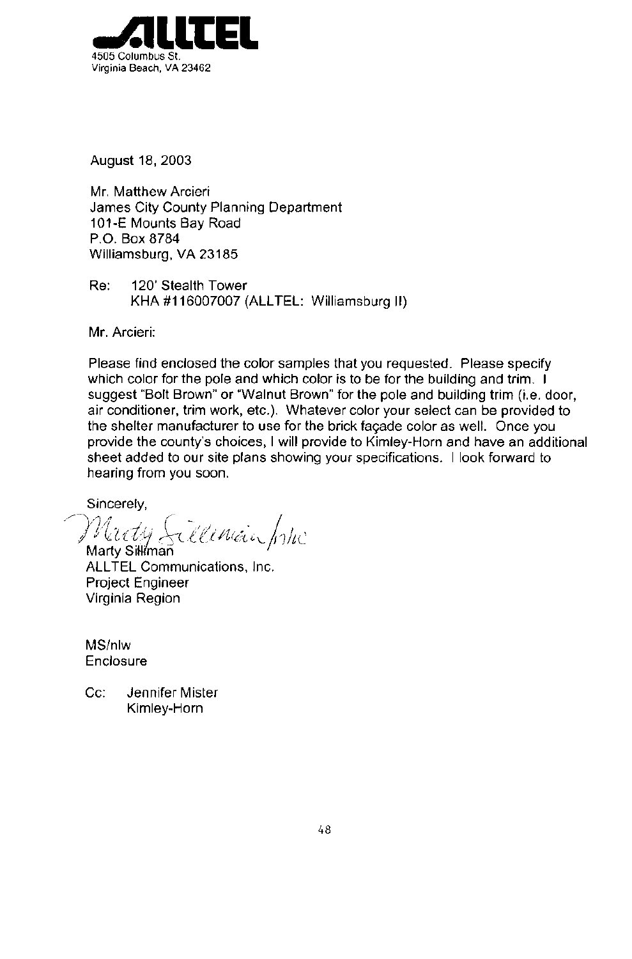

August 18, 2003

Mr. Matthew Arcieri James City County Planning Department 101-E Mounts Bay Road P.O. Box 8784 Williamsburg, VA 23185

Re: 120' Stealth Tower KHA #116007007 (ALLTEL: Williamsburg II)

Mr. Arcieri:

Please find enclosed the color samples that you requested. Please specify which color for the pole and which color is to be for the building and trim. I suggest "Bolt Brown" or "Walnut Brown" for the pole and building trim (i.e. door, air conditioner, trim work, etc.). Whatever color your select can be provided to the shelter manufacturer to use for the brick façade color as well. Once you provide the county's choices, I will provide to Kimley-Horn and have an additional sheet added to our site plans showing your specifications. I look forward to hearing from you soon.

Sincerely,

Marty Sillenian John

Marty Silliman **ALLTEL Communications, Inc.** Project Engineer Virginia Region

MS/nlw Enclosure

Jennifer Mister  $Cc$ : Kimley-Horn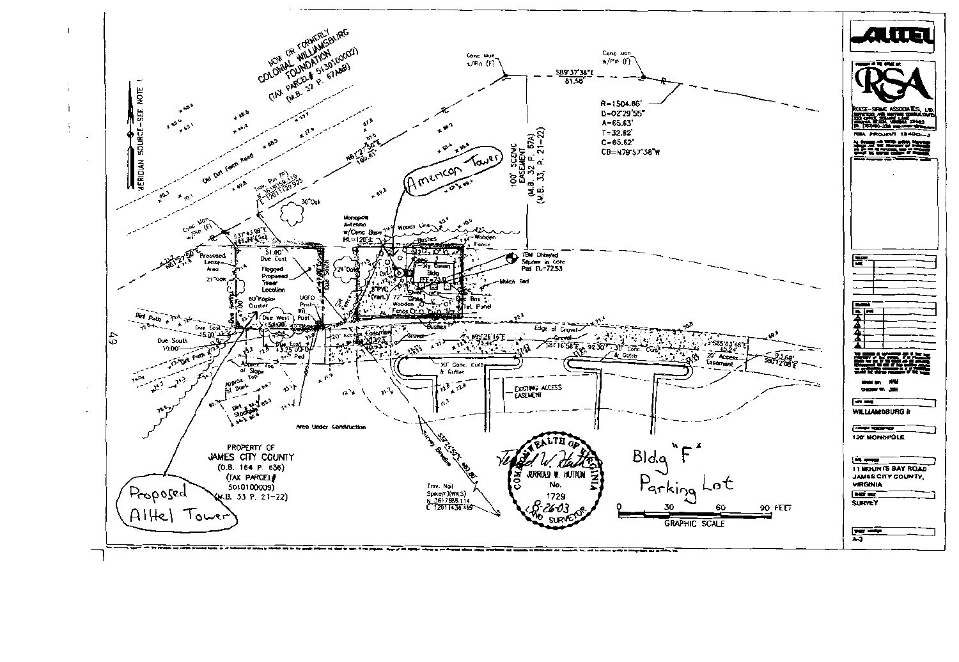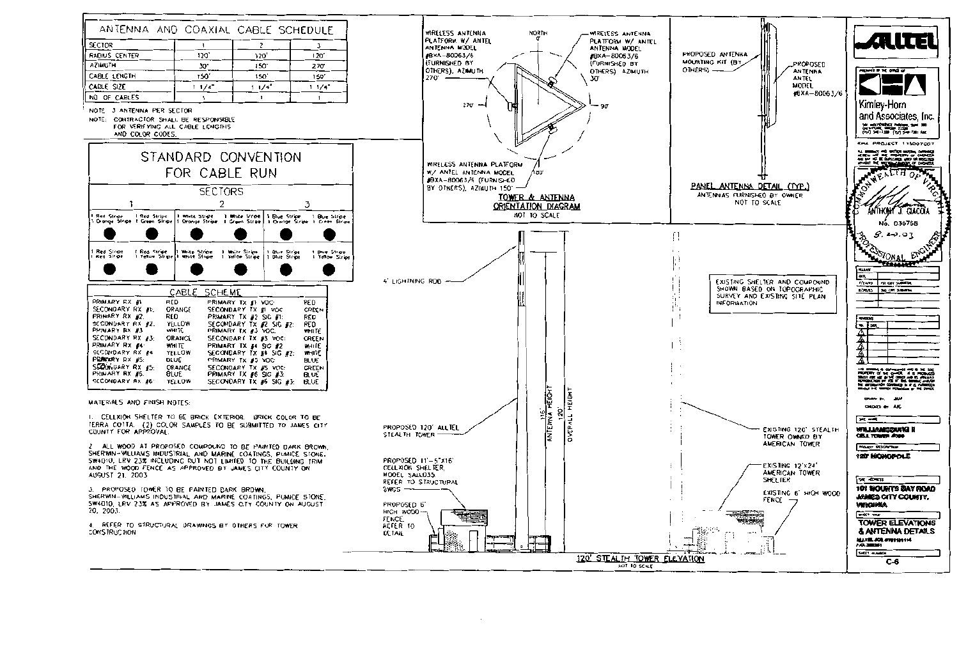

I. CELLXION SHELTER TO BE BRICK EXTERIOR. BRICK COLOR TO BE ERRA COTTA. (2) COLOR SAMPLES TO BE SUBMITTED TO JAMES CITY.<br>COUNTY FOR APPROVAL.

ALL WOOD AT PROPOSED COMPOUND TO BE PAINTED DARK BROWN. SHERWIN-WILLIAMS INDUSTRIAL AND MARINE COATINGS, PUMICE STONE. SW4010, LRV 23% INCLUDING BUT NOT LIMITED TO THE BUILDING TRIM AND THE WOOD FENCE AS APPROVED BY JAMES CITY COUNTY ON AUGUST 21, 2003

3. PROPOSED TOWER TO BE PAINTED DARK BROWN. SHERWIN-WILLIAMS INDUSTRIAL AND MARINE COATINGS, PUMICE STONE. SW4010, LRV 23% AS APPROVED BY JAMES CITY COUNTY ON AUGUST 20, 2003

. REFER TO STRUCTURAL DRAWINGS BY OTHERS FOR TOWER CONSTRUCTION

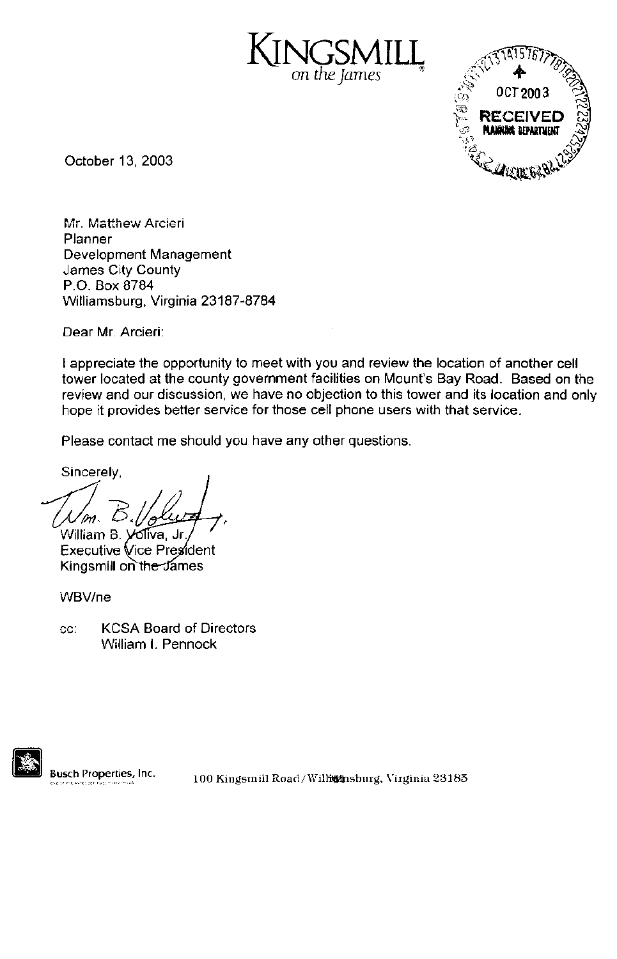GSN on the James



October 13, 2003

Mr. Matthew Arcieri Planner Development Management James City County P.O. Box 8784 Williamsburg, Virginia 23187-8784

Dear Mr. Arcieri:

I appreciate the opportunity to meet with you and review the location of another cell tower located at the county government facilities on Mount's Bay Road. Based on the review and our discussion, we have no objection to this tower and its location and only hope it provides better service for those cell phone users with that service.

Please contact me should you have any other questions.

Sincerely,

William B. Voliva, Jr

**Executive Vice President** Kingsmill on the James

WBV/ne

**KCSA Board of Directors** CC: William I. Pennock

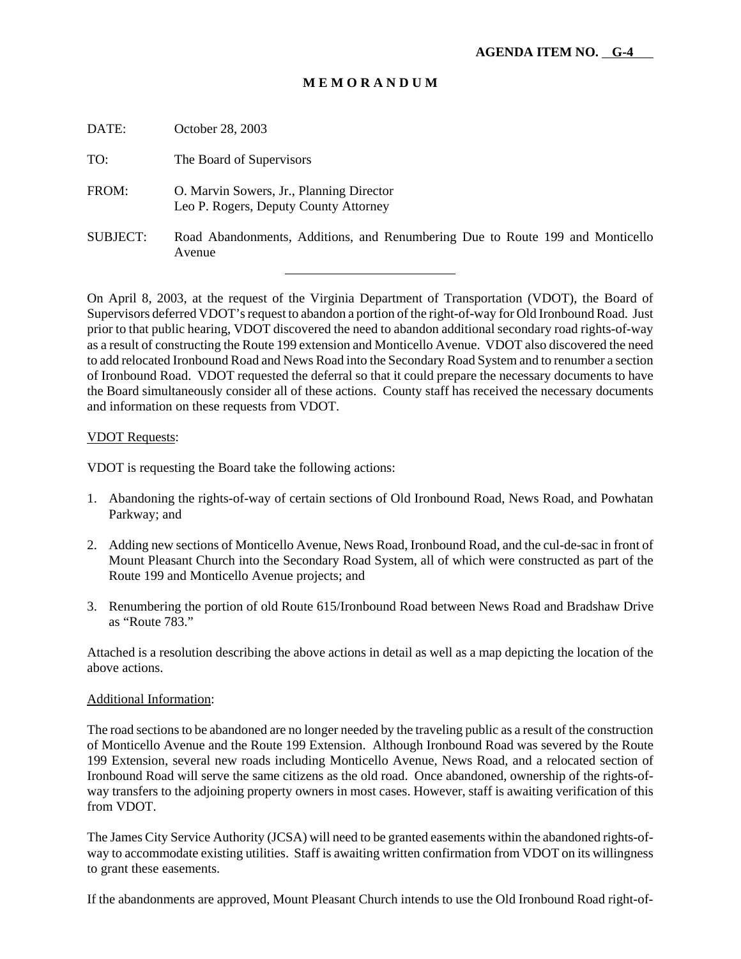| DATE:           | October 28, 2003                                                                        |
|-----------------|-----------------------------------------------------------------------------------------|
| TO:             | The Board of Supervisors                                                                |
| FROM:           | O. Marvin Sowers, Jr., Planning Director<br>Leo P. Rogers, Deputy County Attorney       |
| <b>SUBJECT:</b> | Road Abandonments, Additions, and Renumbering Due to Route 199 and Monticello<br>Avenue |

On April 8, 2003, at the request of the Virginia Department of Transportation (VDOT), the Board of Supervisors deferred VDOT's request to abandon a portion of the right-of-way for Old Ironbound Road. Just prior to that public hearing, VDOT discovered the need to abandon additional secondary road rights-of-way as a result of constructing the Route 199 extension and Monticello Avenue. VDOT also discovered the need to add relocated Ironbound Road and News Road into the Secondary Road System and to renumber a section of Ironbound Road. VDOT requested the deferral so that it could prepare the necessary documents to have the Board simultaneously consider all of these actions. County staff has received the necessary documents and information on these requests from VDOT.

#### VDOT Requests:

VDOT is requesting the Board take the following actions:

l

- 1. Abandoning the rights-of-way of certain sections of Old Ironbound Road, News Road, and Powhatan Parkway; and
- 2. Adding new sections of Monticello Avenue, News Road, Ironbound Road, and the cul-de-sac in front of Mount Pleasant Church into the Secondary Road System, all of which were constructed as part of the Route 199 and Monticello Avenue projects; and
- 3. Renumbering the portion of old Route 615/Ironbound Road between News Road and Bradshaw Drive as "Route 783."

Attached is a resolution describing the above actions in detail as well as a map depicting the location of the above actions.

#### Additional Information:

The road sections to be abandoned are no longer needed by the traveling public as a result of the construction of Monticello Avenue and the Route 199 Extension. Although Ironbound Road was severed by the Route 199 Extension, several new roads including Monticello Avenue, News Road, and a relocated section of Ironbound Road will serve the same citizens as the old road. Once abandoned, ownership of the rights-ofway transfers to the adjoining property owners in most cases. However, staff is awaiting verification of this from VDOT.

The James City Service Authority (JCSA) will need to be granted easements within the abandoned rights-ofway to accommodate existing utilities. Staff is awaiting written confirmation from VDOT on its willingness to grant these easements.

If the abandonments are approved, Mount Pleasant Church intends to use the Old Ironbound Road right-of-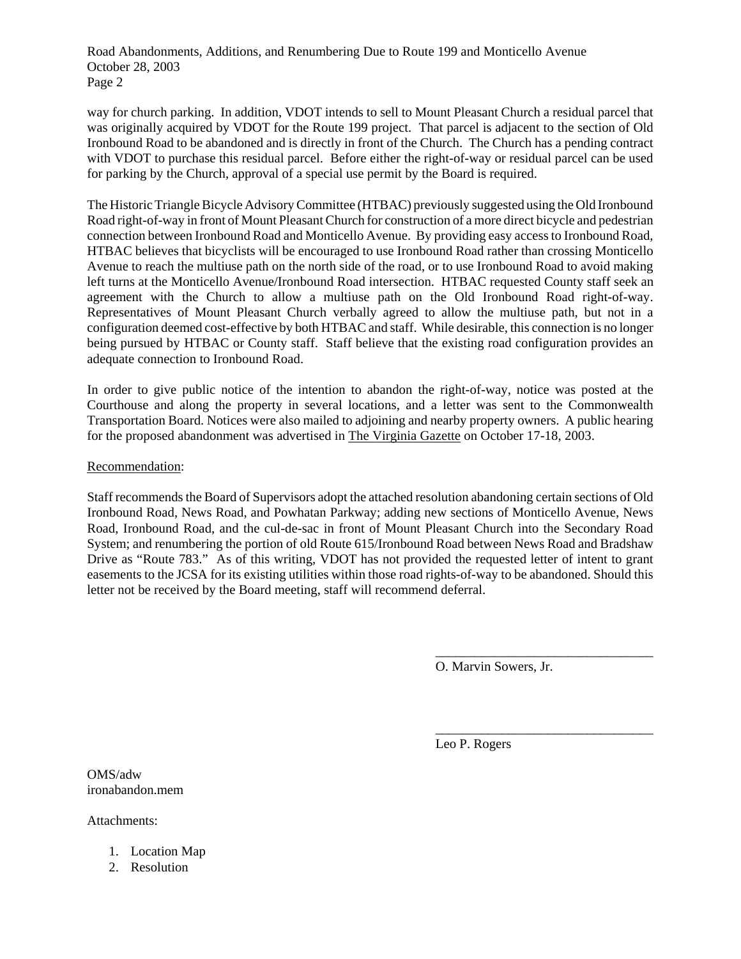Road Abandonments, Additions, and Renumbering Due to Route 199 and Monticello Avenue October 28, 2003 Page 2

way for church parking. In addition, VDOT intends to sell to Mount Pleasant Church a residual parcel that was originally acquired by VDOT for the Route 199 project. That parcel is adjacent to the section of Old Ironbound Road to be abandoned and is directly in front of the Church. The Church has a pending contract with VDOT to purchase this residual parcel. Before either the right-of-way or residual parcel can be used for parking by the Church, approval of a special use permit by the Board is required.

The Historic Triangle Bicycle Advisory Committee (HTBAC) previously suggested using the Old Ironbound Road right-of-way in front of Mount Pleasant Church for construction of a more direct bicycle and pedestrian connection between Ironbound Road and Monticello Avenue. By providing easy access to Ironbound Road, HTBAC believes that bicyclists will be encouraged to use Ironbound Road rather than crossing Monticello Avenue to reach the multiuse path on the north side of the road, or to use Ironbound Road to avoid making left turns at the Monticello Avenue/Ironbound Road intersection. HTBAC requested County staff seek an agreement with the Church to allow a multiuse path on the Old Ironbound Road right-of-way. Representatives of Mount Pleasant Church verbally agreed to allow the multiuse path, but not in a configuration deemed cost-effective by both HTBAC and staff. While desirable, this connection is no longer being pursued by HTBAC or County staff. Staff believe that the existing road configuration provides an adequate connection to Ironbound Road.

In order to give public notice of the intention to abandon the right-of-way, notice was posted at the Courthouse and along the property in several locations, and a letter was sent to the Commonwealth Transportation Board. Notices were also mailed to adjoining and nearby property owners. A public hearing for the proposed abandonment was advertised in The Virginia Gazette on October 17-18, 2003.

#### Recommendation:

Staff recommends the Board of Supervisors adopt the attached resolution abandoning certain sections of Old Ironbound Road, News Road, and Powhatan Parkway; adding new sections of Monticello Avenue, News Road, Ironbound Road, and the cul-de-sac in front of Mount Pleasant Church into the Secondary Road System; and renumbering the portion of old Route 615/Ironbound Road between News Road and Bradshaw Drive as "Route 783." As of this writing, VDOT has not provided the requested letter of intent to grant easements to the JCSA for its existing utilities within those road rights-of-way to be abandoned. Should this letter not be received by the Board meeting, staff will recommend deferral.

O. Marvin Sowers, Jr.

\_\_\_\_\_\_\_\_\_\_\_\_\_\_\_\_\_\_\_\_\_\_\_\_\_\_\_\_\_\_\_\_\_

\_\_\_\_\_\_\_\_\_\_\_\_\_\_\_\_\_\_\_\_\_\_\_\_\_\_\_\_\_\_\_\_\_

Leo P. Rogers

OMS/adw ironabandon.mem

Attachments:

- 1. Location Map
- 2. Resolution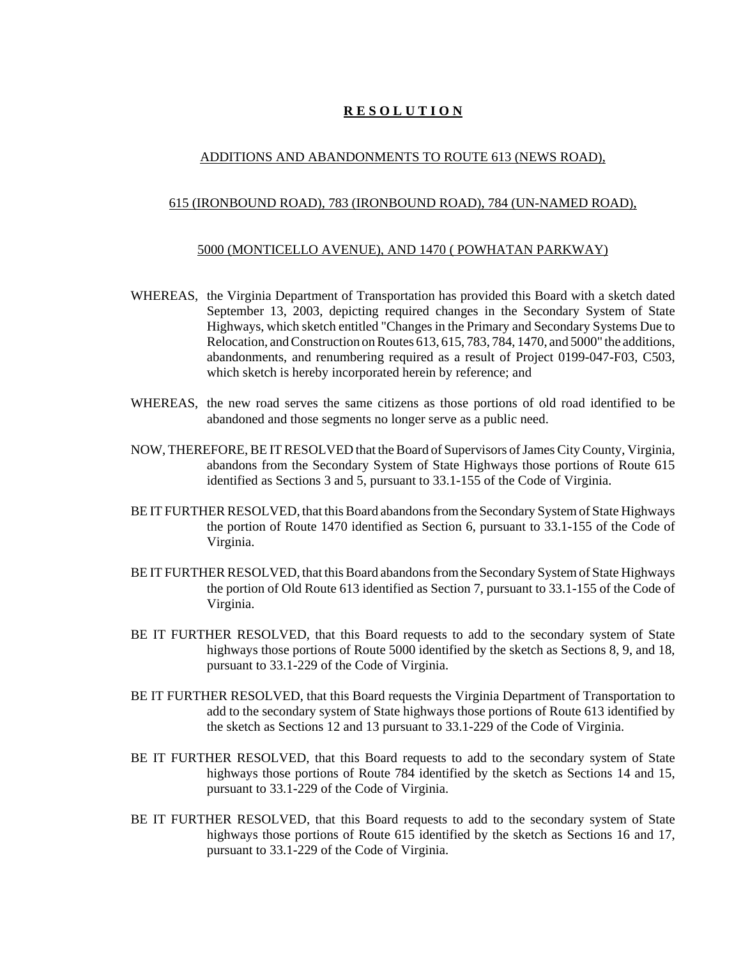#### ADDITIONS AND ABANDONMENTS TO ROUTE 613 (NEWS ROAD),

#### 615 (IRONBOUND ROAD), 783 (IRONBOUND ROAD), 784 (UN-NAMED ROAD),

#### 5000 (MONTICELLO AVENUE), AND 1470 ( POWHATAN PARKWAY)

- WHEREAS, the Virginia Department of Transportation has provided this Board with a sketch dated September 13, 2003, depicting required changes in the Secondary System of State Highways, which sketch entitled "Changes in the Primary and Secondary Systems Due to Relocation, and Construction on Routes 613, 615, 783, 784, 1470, and 5000" the additions, abandonments, and renumbering required as a result of Project 0199-047-F03, C503, which sketch is hereby incorporated herein by reference; and
- WHEREAS, the new road serves the same citizens as those portions of old road identified to be abandoned and those segments no longer serve as a public need.
- NOW, THEREFORE, BE IT RESOLVED that the Board of Supervisors of James City County, Virginia, abandons from the Secondary System of State Highways those portions of Route 615 identified as Sections 3 and 5, pursuant to 33.1-155 of the Code of Virginia.
- BE IT FURTHER RESOLVED, that this Board abandons from the Secondary System of State Highways the portion of Route 1470 identified as Section 6, pursuant to 33.1-155 of the Code of Virginia.
- BE IT FURTHER RESOLVED, that this Board abandons from the Secondary System of State Highways the portion of Old Route 613 identified as Section 7, pursuant to 33.1-155 of the Code of Virginia.
- BE IT FURTHER RESOLVED, that this Board requests to add to the secondary system of State highways those portions of Route 5000 identified by the sketch as Sections 8, 9, and 18, pursuant to 33.1-229 of the Code of Virginia.
- BE IT FURTHER RESOLVED, that this Board requests the Virginia Department of Transportation to add to the secondary system of State highways those portions of Route 613 identified by the sketch as Sections 12 and 13 pursuant to 33.1-229 of the Code of Virginia.
- BE IT FURTHER RESOLVED, that this Board requests to add to the secondary system of State highways those portions of Route 784 identified by the sketch as Sections 14 and 15, pursuant to 33.1-229 of the Code of Virginia.
- BE IT FURTHER RESOLVED, that this Board requests to add to the secondary system of State highways those portions of Route 615 identified by the sketch as Sections 16 and 17, pursuant to 33.1-229 of the Code of Virginia.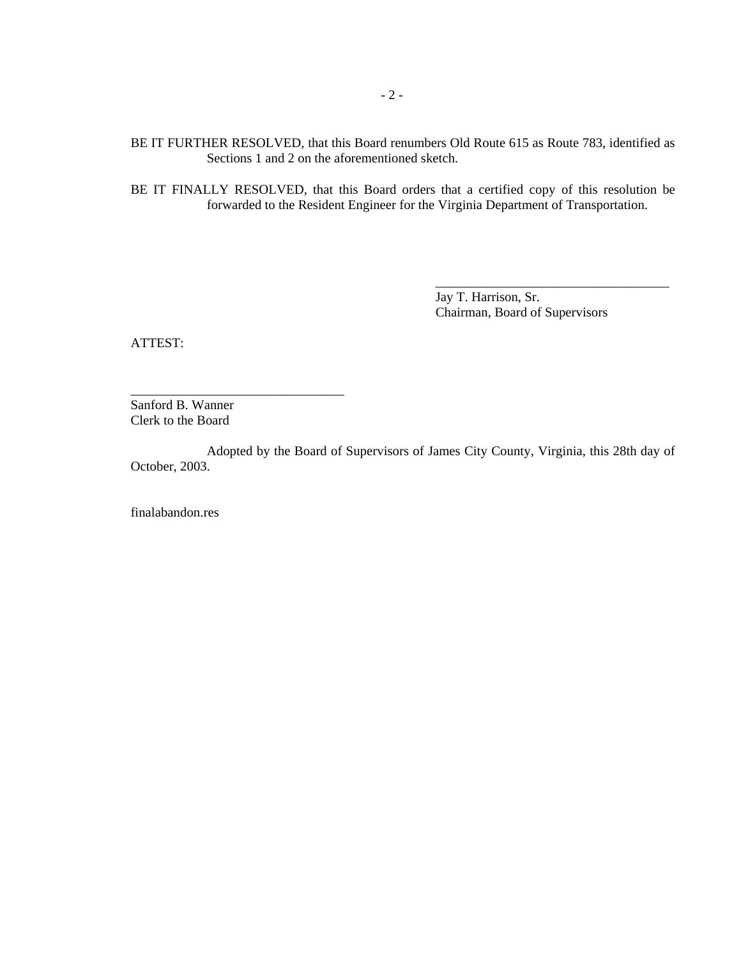BE IT FURTHER RESOLVED, that this Board renumbers Old Route 615 as Route 783, identified as Sections 1 and 2 on the aforementioned sketch.

BE IT FINALLY RESOLVED, that this Board orders that a certified copy of this resolution be forwarded to the Resident Engineer for the Virginia Department of Transportation.

> Jay T. Harrison, Sr. Chairman, Board of Supervisors

\_\_\_\_\_\_\_\_\_\_\_\_\_\_\_\_\_\_\_\_\_\_\_\_\_\_\_\_\_\_\_\_\_\_\_

ATTEST:

Sanford B. Wanner Clerk to the Board

\_\_\_\_\_\_\_\_\_\_\_\_\_\_\_\_\_\_\_\_\_\_\_\_\_\_\_\_\_\_\_\_

Adopted by the Board of Supervisors of James City County, Virginia, this 28th day of October, 2003.

finalabandon.res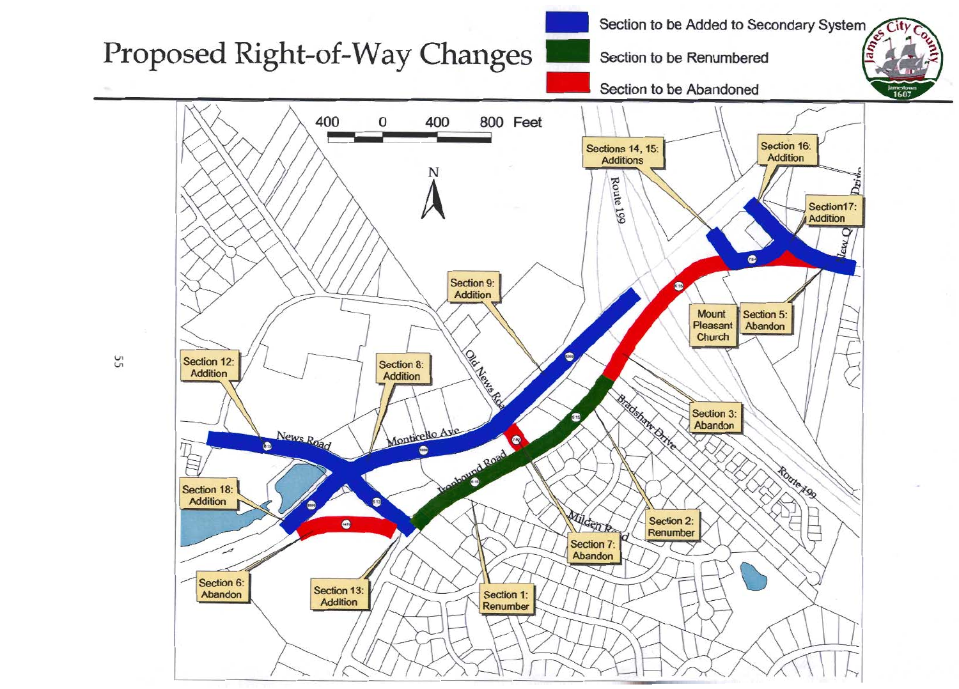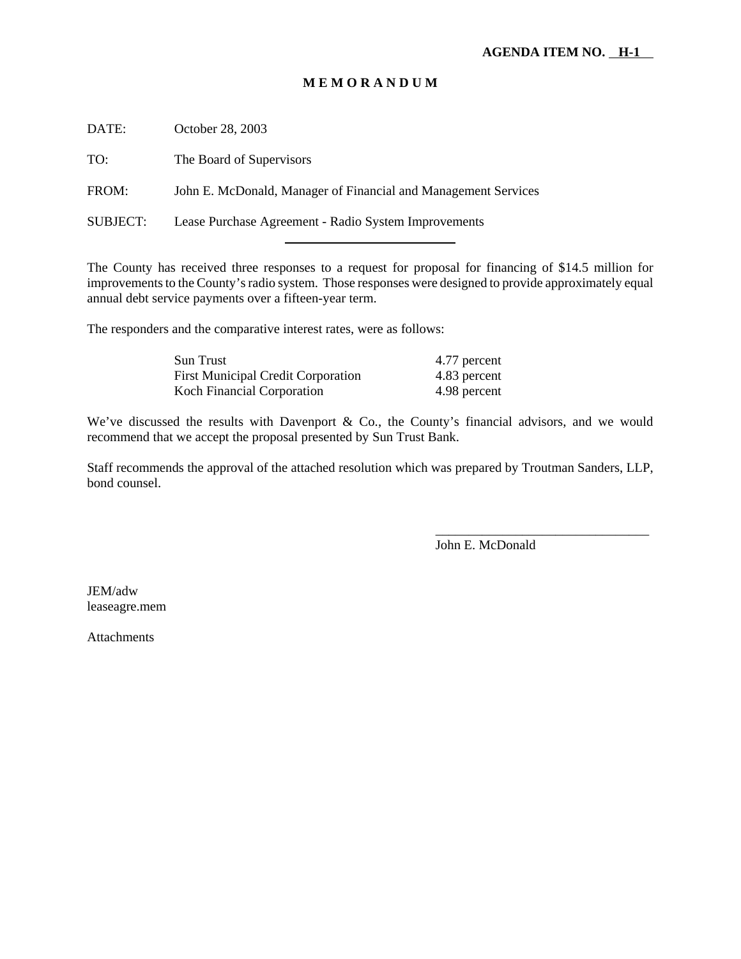DATE: October 28, 2003 TO: The Board of Supervisors FROM: John E. McDonald, Manager of Financial and Management Services SUBJECT: Lease Purchase Agreement - Radio System Improvements

l

The County has received three responses to a request for proposal for financing of \$14.5 million for improvements to the County's radio system. Those responses were designed to provide approximately equal annual debt service payments over a fifteen-year term.

The responders and the comparative interest rates, were as follows:

| Sun Trust                                 | 4.77 percent |
|-------------------------------------------|--------------|
| <b>First Municipal Credit Corporation</b> | 4.83 percent |
| Koch Financial Corporation                | 4.98 percent |

We've discussed the results with Davenport & Co., the County's financial advisors, and we would recommend that we accept the proposal presented by Sun Trust Bank.

Staff recommends the approval of the attached resolution which was prepared by Troutman Sanders, LLP, bond counsel.

John E. McDonald

\_\_\_\_\_\_\_\_\_\_\_\_\_\_\_\_\_\_\_\_\_\_\_\_\_\_\_\_\_\_\_\_

JEM/adw leaseagre.mem

**Attachments**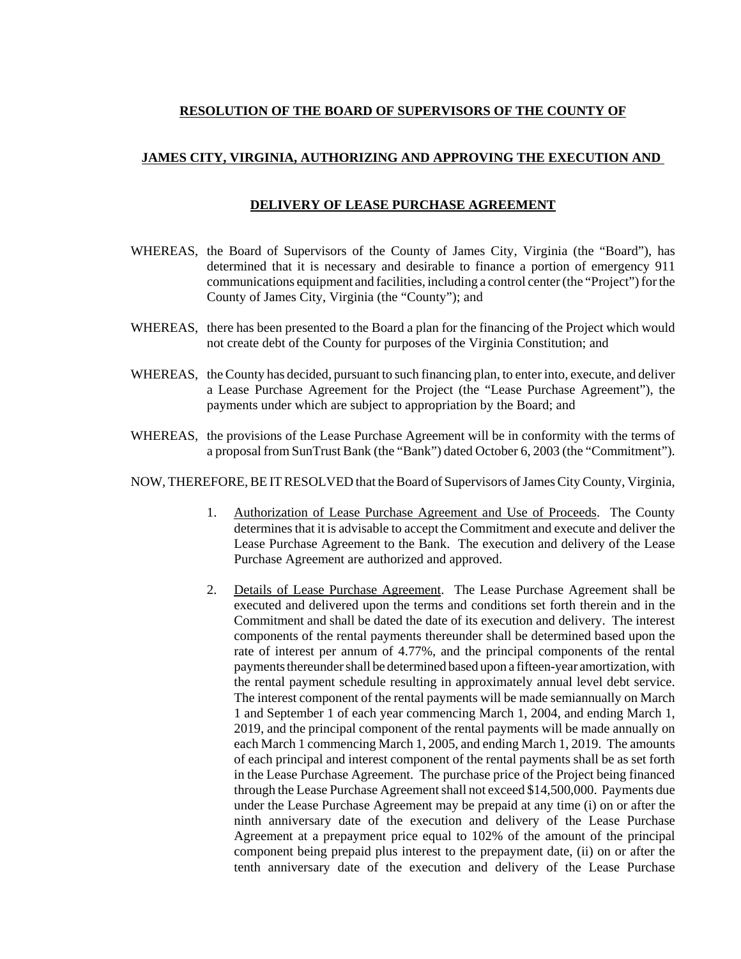#### **RESOLUTION OF THE BOARD OF SUPERVISORS OF THE COUNTY OF**

#### **JAMES CITY, VIRGINIA, AUTHORIZING AND APPROVING THE EXECUTION AND**

#### **DELIVERY OF LEASE PURCHASE AGREEMENT**

- WHEREAS, the Board of Supervisors of the County of James City, Virginia (the "Board"), has determined that it is necessary and desirable to finance a portion of emergency 911 communications equipment and facilities, including a control center (the "Project") for the County of James City, Virginia (the "County"); and
- WHEREAS, there has been presented to the Board a plan for the financing of the Project which would not create debt of the County for purposes of the Virginia Constitution; and
- WHEREAS, the County has decided, pursuant to such financing plan, to enter into, execute, and deliver a Lease Purchase Agreement for the Project (the "Lease Purchase Agreement"), the payments under which are subject to appropriation by the Board; and
- WHEREAS, the provisions of the Lease Purchase Agreement will be in conformity with the terms of a proposal from SunTrust Bank (the "Bank") dated October 6, 2003 (the "Commitment").

NOW, THEREFORE, BE IT RESOLVED that the Board of Supervisors of James City County, Virginia,

- 1. Authorization of Lease Purchase Agreement and Use of Proceeds. The County determines that it is advisable to accept the Commitment and execute and deliver the Lease Purchase Agreement to the Bank. The execution and delivery of the Lease Purchase Agreement are authorized and approved.
- 2. Details of Lease Purchase Agreement. The Lease Purchase Agreement shall be executed and delivered upon the terms and conditions set forth therein and in the Commitment and shall be dated the date of its execution and delivery. The interest components of the rental payments thereunder shall be determined based upon the rate of interest per annum of 4.77%, and the principal components of the rental payments thereunder shall be determined based upon a fifteen-year amortization, with the rental payment schedule resulting in approximately annual level debt service. The interest component of the rental payments will be made semiannually on March 1 and September 1 of each year commencing March 1, 2004, and ending March 1, 2019, and the principal component of the rental payments will be made annually on each March 1 commencing March 1, 2005, and ending March 1, 2019. The amounts of each principal and interest component of the rental payments shall be as set forth in the Lease Purchase Agreement. The purchase price of the Project being financed through the Lease Purchase Agreement shall not exceed \$14,500,000. Payments due under the Lease Purchase Agreement may be prepaid at any time (i) on or after the ninth anniversary date of the execution and delivery of the Lease Purchase Agreement at a prepayment price equal to 102% of the amount of the principal component being prepaid plus interest to the prepayment date, (ii) on or after the tenth anniversary date of the execution and delivery of the Lease Purchase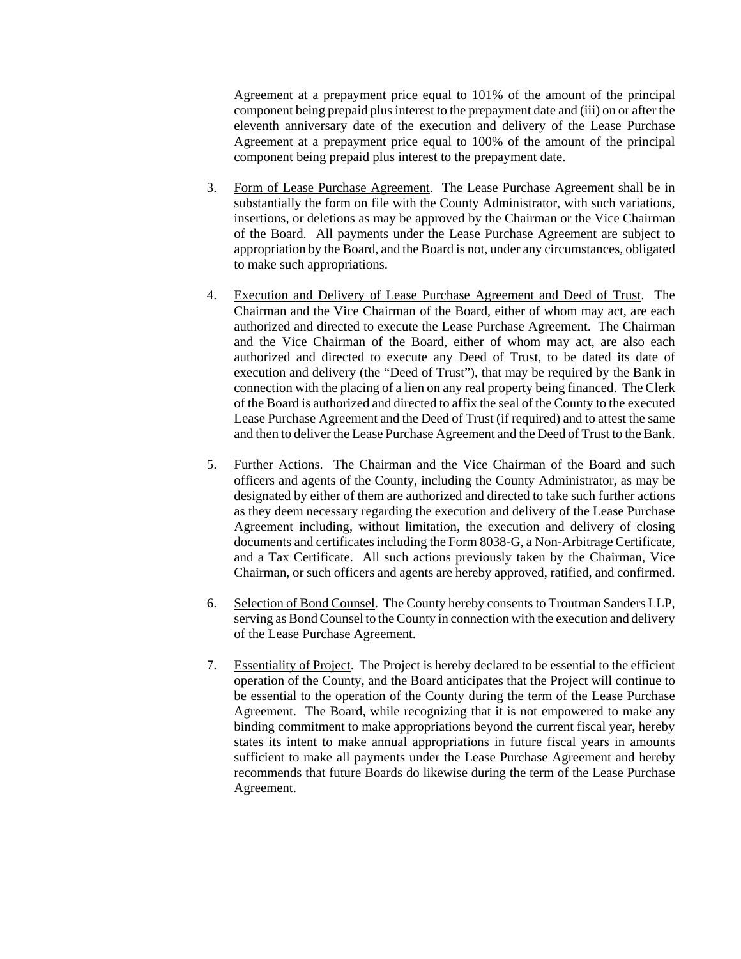Agreement at a prepayment price equal to 101% of the amount of the principal component being prepaid plus interest to the prepayment date and (iii) on or after the eleventh anniversary date of the execution and delivery of the Lease Purchase Agreement at a prepayment price equal to 100% of the amount of the principal component being prepaid plus interest to the prepayment date.

- 3. Form of Lease Purchase Agreement. The Lease Purchase Agreement shall be in substantially the form on file with the County Administrator, with such variations, insertions, or deletions as may be approved by the Chairman or the Vice Chairman of the Board. All payments under the Lease Purchase Agreement are subject to appropriation by the Board, and the Board is not, under any circumstances, obligated to make such appropriations.
- 4. Execution and Delivery of Lease Purchase Agreement and Deed of Trust. The Chairman and the Vice Chairman of the Board, either of whom may act, are each authorized and directed to execute the Lease Purchase Agreement. The Chairman and the Vice Chairman of the Board, either of whom may act, are also each authorized and directed to execute any Deed of Trust, to be dated its date of execution and delivery (the "Deed of Trust"), that may be required by the Bank in connection with the placing of a lien on any real property being financed. The Clerk of the Board is authorized and directed to affix the seal of the County to the executed Lease Purchase Agreement and the Deed of Trust (if required) and to attest the same and then to deliver the Lease Purchase Agreement and the Deed of Trust to the Bank.
- 5. Further Actions. The Chairman and the Vice Chairman of the Board and such officers and agents of the County, including the County Administrator, as may be designated by either of them are authorized and directed to take such further actions as they deem necessary regarding the execution and delivery of the Lease Purchase Agreement including, without limitation, the execution and delivery of closing documents and certificates including the Form 8038-G, a Non-Arbitrage Certificate, and a Tax Certificate. All such actions previously taken by the Chairman, Vice Chairman, or such officers and agents are hereby approved, ratified, and confirmed.
- 6. Selection of Bond Counsel. The County hereby consents to Troutman Sanders LLP, serving as Bond Counsel to the County in connection with the execution and delivery of the Lease Purchase Agreement.
- 7. Essentiality of Project. The Project is hereby declared to be essential to the efficient operation of the County, and the Board anticipates that the Project will continue to be essential to the operation of the County during the term of the Lease Purchase Agreement. The Board, while recognizing that it is not empowered to make any binding commitment to make appropriations beyond the current fiscal year, hereby states its intent to make annual appropriations in future fiscal years in amounts sufficient to make all payments under the Lease Purchase Agreement and hereby recommends that future Boards do likewise during the term of the Lease Purchase Agreement.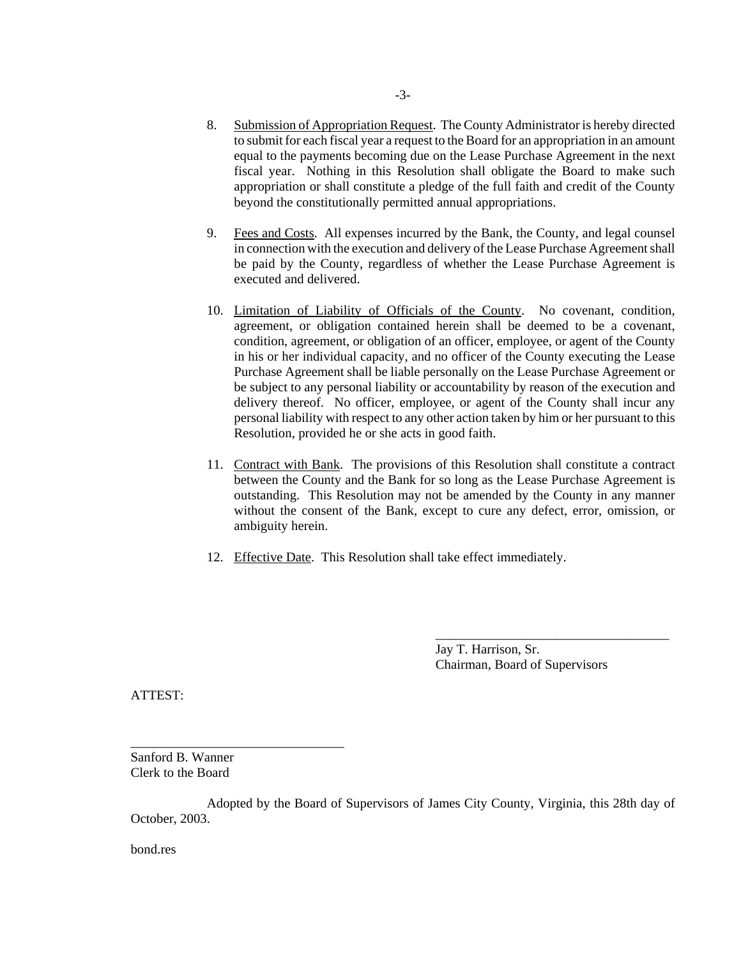- 8. Submission of Appropriation Request. The County Administrator is hereby directed to submit for each fiscal year a request to the Board for an appropriation in an amount equal to the payments becoming due on the Lease Purchase Agreement in the next fiscal year. Nothing in this Resolution shall obligate the Board to make such appropriation or shall constitute a pledge of the full faith and credit of the County beyond the constitutionally permitted annual appropriations.
- 9. Fees and Costs. All expenses incurred by the Bank, the County, and legal counsel in connection with the execution and delivery of the Lease Purchase Agreement shall be paid by the County, regardless of whether the Lease Purchase Agreement is executed and delivered.
- 10. Limitation of Liability of Officials of the County.No covenant, condition, agreement, or obligation contained herein shall be deemed to be a covenant, condition, agreement, or obligation of an officer, employee, or agent of the County in his or her individual capacity, and no officer of the County executing the Lease Purchase Agreement shall be liable personally on the Lease Purchase Agreement or be subject to any personal liability or accountability by reason of the execution and delivery thereof. No officer, employee, or agent of the County shall incur any personal liability with respect to any other action taken by him or her pursuant to this Resolution, provided he or she acts in good faith.
- 11. Contract with Bank.The provisions of this Resolution shall constitute a contract between the County and the Bank for so long as the Lease Purchase Agreement is outstanding. This Resolution may not be amended by the County in any manner without the consent of the Bank, except to cure any defect, error, omission, or ambiguity herein.
- 12. Effective Date. This Resolution shall take effect immediately.

Jay T. Harrison, Sr. Chairman, Board of Supervisors

\_\_\_\_\_\_\_\_\_\_\_\_\_\_\_\_\_\_\_\_\_\_\_\_\_\_\_\_\_\_\_\_\_\_\_

ATTEST:

Sanford B. Wanner Clerk to the Board

\_\_\_\_\_\_\_\_\_\_\_\_\_\_\_\_\_\_\_\_\_\_\_\_\_\_\_\_\_\_\_\_

Adopted by the Board of Supervisors of James City County, Virginia, this 28th day of October, 2003.

bond.res